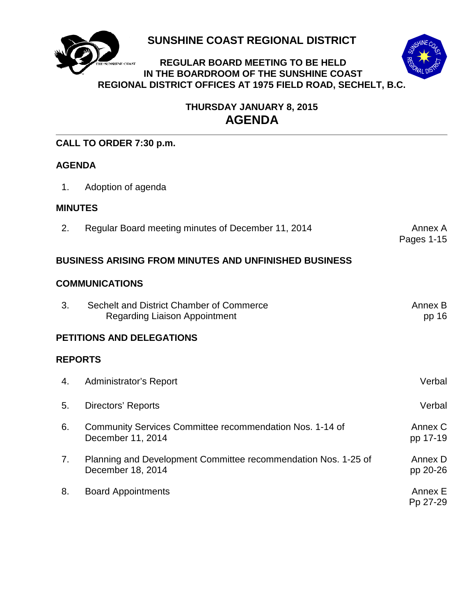

**SUNSHINE COAST REGIONAL DISTRICT**

## **REGULAR BOARD MEETING TO BE HELD IN THE BOARDROOM OF THE SUNSHINE COAST REGIONAL DISTRICT OFFICES AT 1975 FIELD ROAD, SECHELT, B.C.**



## **THURSDAY JANUARY 8, 2015 AGENDA**

## **CALL TO ORDER 7:30 p.m.**

## **AGENDA**

1. Adoption of agenda

## **MINUTES**

2. [Regular Board meeting minutes of](#page-3-0) December 11, 2014 **Annex A**nnex A

# Pages 1-15

## **BUSINESS ARISING FROM MINUTES AND UNFINISHED BUSINESS**

## **COMMUNICATIONS**

| -3. | Sechelt and District Chamber of Commerce | Annex B |
|-----|------------------------------------------|---------|
|     | <b>Regarding Liaison Appointment</b>     | pp 16   |

## **PETITIONS AND DELEGATIONS**

## **REPORTS**

| 4. | Administrator's Report                                                              | Verbal              |
|----|-------------------------------------------------------------------------------------|---------------------|
| 5. | Directors' Reports                                                                  | Verbal              |
| 6. | Community Services Committee recommendation Nos. 1-14 of<br>December 11, 2014       | Annex C<br>pp 17-19 |
| 7. | Planning and Development Committee recommendation Nos. 1-25 of<br>December 18, 2014 | Annex D<br>pp 20-26 |
| 8. | <b>Board Appointments</b>                                                           | Annex E<br>Pp 27-29 |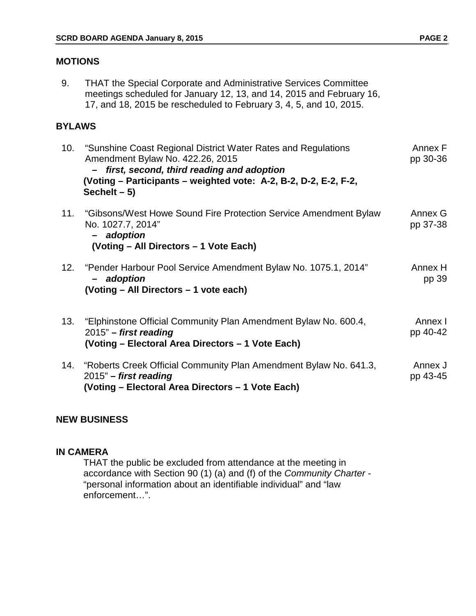## **MOTIONS**

9. THAT the Special Corporate and Administrative Services Committee meetings scheduled for January 12, 13, and 14, 2015 and February 16, 17, and 18, 2015 be rescheduled to February 3, 4, 5, and 10, 2015.

## **BYLAWS**

| 10. | "Sunshine Coast Regional District Water Rates and Regulations<br>Amendment Bylaw No. 422.26, 2015<br>first, second, third reading and adoption<br>(Voting – Participants – weighted vote: A-2, B-2, D-2, E-2, F-2,<br>Sechelt $-5$ ) | Annex F<br>pp 30-36 |
|-----|--------------------------------------------------------------------------------------------------------------------------------------------------------------------------------------------------------------------------------------|---------------------|
| 11. | "Gibsons/West Howe Sound Fire Protection Service Amendment Bylaw<br>No. 1027.7, 2014"<br>- adoption<br>(Voting – All Directors – 1 Vote Each)                                                                                        | Annex G<br>pp 37-38 |
|     | 12. "Pender Harbour Pool Service Amendment Bylaw No. 1075.1, 2014"<br>adoption<br>$\overline{\phantom{0}}$<br>(Voting - All Directors - 1 vote each)                                                                                 | Annex H<br>pp 39    |
| 13. | "Elphinstone Official Community Plan Amendment Bylaw No. 600.4,<br>$2015"$ – first reading<br>(Voting - Electoral Area Directors - 1 Vote Each)                                                                                      | Annex I<br>pp 40-42 |
| 14. | "Roberts Creek Official Community Plan Amendment Bylaw No. 641.3,<br>$2015"$ – first reading<br>(Voting – Electoral Area Directors – 1 Vote Each)                                                                                    | Annex J<br>pp 43-45 |

## **NEW BUSINESS**

## **IN CAMERA**

THAT the public be excluded from attendance at the meeting in accordance with Section 90 (1) (a) and (f) of the *Community Charter -*  "personal information about an identifiable individual" and "law enforcement…".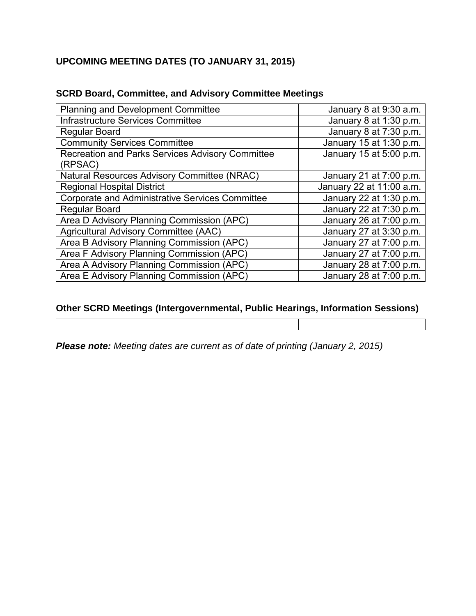## **UPCOMING MEETING DATES (TO JANUARY 31, 2015)**

| <b>Planning and Development Committee</b>              | January 8 at 9:30 a.m.   |
|--------------------------------------------------------|--------------------------|
| Infrastructure Services Committee                      | January 8 at 1:30 p.m.   |
| <b>Regular Board</b>                                   | January 8 at 7:30 p.m.   |
| <b>Community Services Committee</b>                    | January 15 at 1:30 p.m.  |
| Recreation and Parks Services Advisory Committee       | January 15 at 5:00 p.m.  |
| (RPSAC)                                                |                          |
| Natural Resources Advisory Committee (NRAC)            | January 21 at 7:00 p.m.  |
| <b>Regional Hospital District</b>                      | January 22 at 11:00 a.m. |
| <b>Corporate and Administrative Services Committee</b> | January 22 at 1:30 p.m.  |
| <b>Regular Board</b>                                   | January 22 at 7:30 p.m.  |
| Area D Advisory Planning Commission (APC)              | January 26 at 7:00 p.m.  |
| Agricultural Advisory Committee (AAC)                  | January 27 at 3:30 p.m.  |
| Area B Advisory Planning Commission (APC)              | January 27 at 7:00 p.m.  |
| Area F Advisory Planning Commission (APC)              | January 27 at 7:00 p.m.  |
| Area A Advisory Planning Commission (APC)              | January 28 at 7:00 p.m.  |
| Area E Advisory Planning Commission (APC)              | January 28 at 7:00 p.m.  |

## **SCRD Board, Committee, and Advisory Committee Meetings**

## **Other SCRD Meetings (Intergovernmental, Public Hearings, Information Sessions)**

*Please note: Meeting dates are current as of date of printing (January 2, 2015)*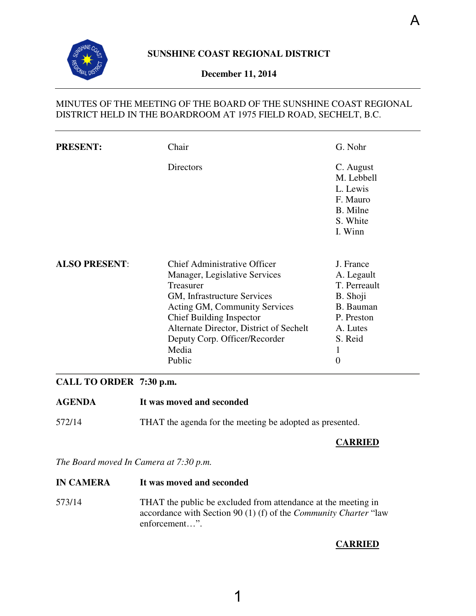<span id="page-3-0"></span>

## **December 11, 2014**

## MINUTES OF THE MEETING OF THE BOARD OF THE SUNSHINE COAST REGIONAL DISTRICT HELD IN THE BOARDROOM AT 1975 FIELD ROAD, SECHELT, B.C.

| <b>PRESENT:</b>      | Chair                                                                                                                                                                                                                                                                               | G. Nohr                                                                                                                      |
|----------------------|-------------------------------------------------------------------------------------------------------------------------------------------------------------------------------------------------------------------------------------------------------------------------------------|------------------------------------------------------------------------------------------------------------------------------|
|                      | Directors                                                                                                                                                                                                                                                                           | C. August<br>M. Lebbell<br>L. Lewis<br>F. Mauro<br>B. Milne<br>S. White<br>I. Winn                                           |
| <b>ALSO PRESENT:</b> | <b>Chief Administrative Officer</b><br>Manager, Legislative Services<br>Treasurer<br>GM, Infrastructure Services<br>Acting GM, Community Services<br><b>Chief Building Inspector</b><br>Alternate Director, District of Sechelt<br>Deputy Corp. Officer/Recorder<br>Media<br>Public | J. France<br>A. Legault<br>T. Perreault<br>B. Shoji<br>B. Bauman<br>P. Preston<br>A. Lutes<br>S. Reid<br>1<br>$\overline{0}$ |

## **CALL TO ORDER 7:30 p.m.**

- **AGENDA It was moved and seconded**
- 572/14 THAT the agenda for the meeting be adopted as presented.

## **CARRIED**

*The Board moved In Camera at 7:30 p.m.* 

**IN CAMERA It was moved and seconded**  573/14 THAT the public be excluded from attendance at the meeting in accordance with Section 90 (1) (f) of the *Community Charter* "law enforcement…".

## **CARRIED**

A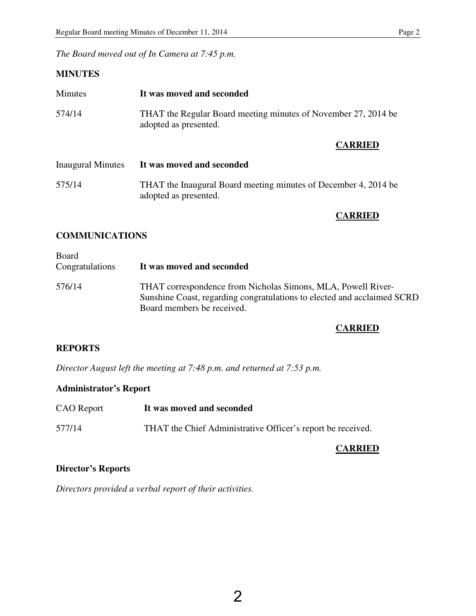*The Board moved out of In Camera at 7:45 p.m.* 

## **MINUTES**

| <b>Minutes</b>           | It was moved and seconded                                                                |
|--------------------------|------------------------------------------------------------------------------------------|
| 574/14                   | THAT the Regular Board meeting minutes of November 27, 2014 be<br>adopted as presented.  |
|                          | <b>CARRIED</b>                                                                           |
| <b>Inaugural Minutes</b> | It was moved and seconded                                                                |
| 575/14                   | THAT the Inaugural Board meeting minutes of December 4, 2014 be<br>adopted as presented. |
|                          |                                                                                          |

## **CARRIED**

## **COMMUNICATIONS**

| Board<br>Congratulations | It was moved and seconded                                                                                                                                             |
|--------------------------|-----------------------------------------------------------------------------------------------------------------------------------------------------------------------|
| 576/14                   | THAT correspondence from Nicholas Simons, MLA, Powell River-<br>Sunshine Coast, regarding congratulations to elected and acclaimed SCRD<br>Board members be received. |

## **CARRIED**

## **REPORTS**

*Director August left the meeting at 7:48 p.m. and returned at 7:53 p.m.* 

## **Administrator's Report**

| <b>CAO</b> Report | It was moved and seconded                                   |
|-------------------|-------------------------------------------------------------|
| 577/14            | THAT the Chief Administrative Officer's report be received. |

## **CARRIED**

## **Director's Reports**

*Directors provided a verbal report of their activities.*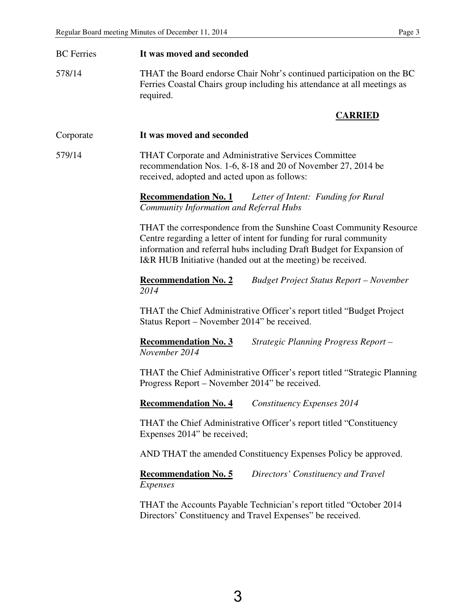| <b>BC</b> Ferries | It was moved and seconded                                                                                                                                                                                                                                                         |
|-------------------|-----------------------------------------------------------------------------------------------------------------------------------------------------------------------------------------------------------------------------------------------------------------------------------|
| 578/14            | THAT the Board endorse Chair Nohr's continued participation on the BC<br>Ferries Coastal Chairs group including his attendance at all meetings as<br>required.                                                                                                                    |
|                   | <b>CARRIED</b>                                                                                                                                                                                                                                                                    |
| Corporate         | It was moved and seconded                                                                                                                                                                                                                                                         |
| 579/14            | THAT Corporate and Administrative Services Committee<br>recommendation Nos. 1-6, 8-18 and 20 of November 27, 2014 be<br>received, adopted and acted upon as follows:                                                                                                              |
|                   | <b>Recommendation No. 1</b><br>Letter of Intent: Funding for Rural<br><b>Community Information and Referral Hubs</b>                                                                                                                                                              |
|                   | THAT the correspondence from the Sunshine Coast Community Resource<br>Centre regarding a letter of intent for funding for rural community<br>information and referral hubs including Draft Budget for Expansion of<br>I&R HUB Initiative (handed out at the meeting) be received. |
|                   | <b>Recommendation No. 2</b><br><b>Budget Project Status Report – November</b><br>2014                                                                                                                                                                                             |
|                   | THAT the Chief Administrative Officer's report titled "Budget Project"<br>Status Report – November 2014" be received.                                                                                                                                                             |
|                   | <b>Recommendation No. 3</b><br>Strategic Planning Progress Report-<br>November 2014                                                                                                                                                                                               |
|                   | THAT the Chief Administrative Officer's report titled "Strategic Planning"<br>Progress Report – November 2014" be received.                                                                                                                                                       |
|                   | <b>Recommendation No. 4</b><br>Constituency Expenses 2014                                                                                                                                                                                                                         |
|                   | THAT the Chief Administrative Officer's report titled "Constituency"<br>Expenses 2014" be received;                                                                                                                                                                               |
|                   | AND THAT the amended Constituency Expenses Policy be approved.                                                                                                                                                                                                                    |
|                   | <b>Recommendation No. 5</b><br>Directors' Constituency and Travel<br>Expenses                                                                                                                                                                                                     |
|                   | THAT the Accounts Payable Technician's report titled "October 2014<br>Directors' Constituency and Travel Expenses" be received.                                                                                                                                                   |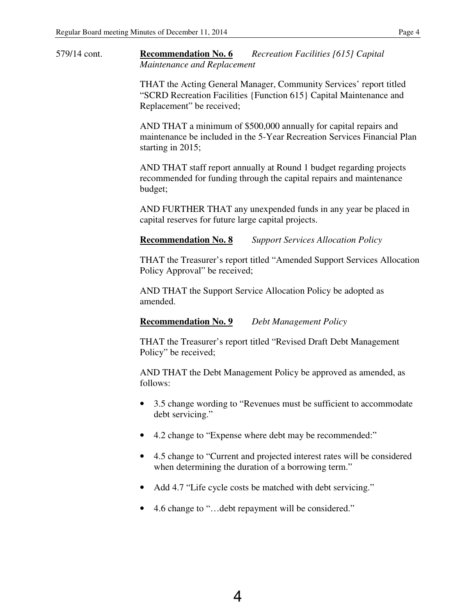579/14 cont. **Recommendation No. 6** *Recreation Facilities [615] Capital Maintenance and Replacement* 

> THAT the Acting General Manager, Community Services' report titled "SCRD Recreation Facilities {Function 615} Capital Maintenance and Replacement" be received;

 AND THAT a minimum of \$500,000 annually for capital repairs and maintenance be included in the 5-Year Recreation Services Financial Plan starting in 2015;

 AND THAT staff report annually at Round 1 budget regarding projects recommended for funding through the capital repairs and maintenance budget;

 AND FURTHER THAT any unexpended funds in any year be placed in capital reserves for future large capital projects.

 **Recommendation No. 8** *Support Services Allocation Policy* 

THAT the Treasurer's report titled "Amended Support Services Allocation Policy Approval" be received;

 AND THAT the Support Service Allocation Policy be adopted as amended.

 **Recommendation No. 9** *Debt Management Policy* 

THAT the Treasurer's report titled "Revised Draft Debt Management Policy" be received;

 AND THAT the Debt Management Policy be approved as amended, as follows:

- 3.5 change wording to "Revenues must be sufficient to accommodate debt servicing."
- 4.2 change to "Expense where debt may be recommended:"
- 4.5 change to "Current and projected interest rates will be considered when determining the duration of a borrowing term."
- Add 4.7 "Life cycle costs be matched with debt servicing."
- 4.6 change to "... debt repayment will be considered."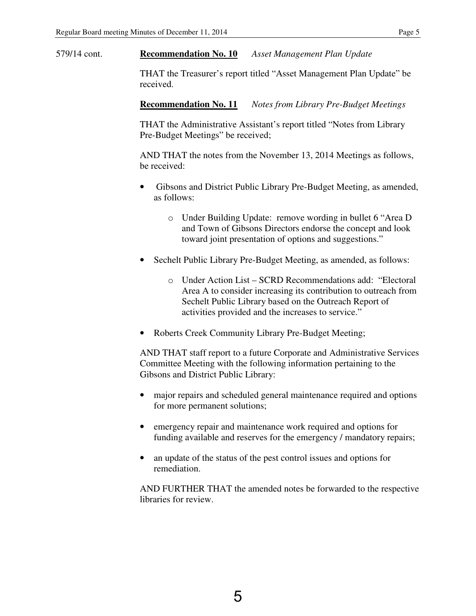579/14 cont. **Recommendation No. 10** *Asset Management Plan Update* 

THAT the Treasurer's report titled "Asset Management Plan Update" be received.

 **Recommendation No. 11** *Notes from Library Pre-Budget Meetings* 

THAT the Administrative Assistant's report titled "Notes from Library Pre-Budget Meetings" be received;

 AND THAT the notes from the November 13, 2014 Meetings as follows, be received:

- Gibsons and District Public Library Pre-Budget Meeting, as amended, as follows:
	- o Under Building Update: remove wording in bullet 6 "Area D and Town of Gibsons Directors endorse the concept and look toward joint presentation of options and suggestions."
- Sechelt Public Library Pre-Budget Meeting, as amended, as follows:
	- o Under Action List SCRD Recommendations add: "Electoral Area A to consider increasing its contribution to outreach from Sechelt Public Library based on the Outreach Report of activities provided and the increases to service."
- Roberts Creek Community Library Pre-Budget Meeting;

 AND THAT staff report to a future Corporate and Administrative Services Committee Meeting with the following information pertaining to the Gibsons and District Public Library:

- major repairs and scheduled general maintenance required and options for more permanent solutions;
- emergency repair and maintenance work required and options for funding available and reserves for the emergency / mandatory repairs;
- an update of the status of the pest control issues and options for remediation.

 AND FURTHER THAT the amended notes be forwarded to the respective libraries for review.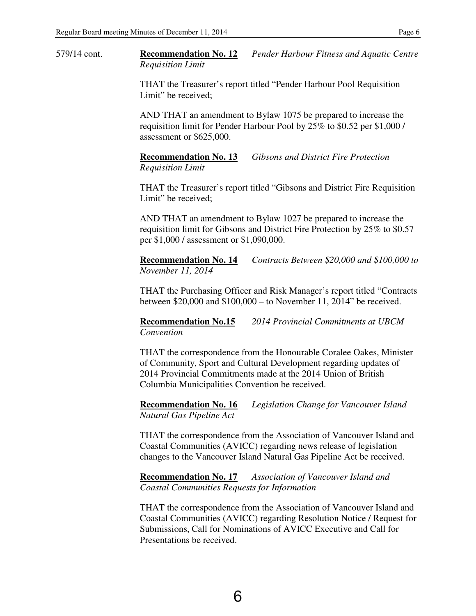579/14 cont. **Recommendation No. 12** *Pender Harbour Fitness and Aquatic Centre Requisition Limit* 

> THAT the Treasurer's report titled "Pender Harbour Pool Requisition Limit" be received;

 AND THAT an amendment to Bylaw 1075 be prepared to increase the requisition limit for Pender Harbour Pool by 25% to \$0.52 per \$1,000 / assessment or \$625,000.

 **Recommendation No. 13** *Gibsons and District Fire Protection Requisition Limit* 

 THAT the Treasurer's report titled "Gibsons and District Fire Requisition Limit" be received;

 AND THAT an amendment to Bylaw 1027 be prepared to increase the requisition limit for Gibsons and District Fire Protection by 25% to \$0.57 per \$1,000 / assessment or \$1,090,000.

 **Recommendation No. 14** *Contracts Between \$20,000 and \$100,000 to November 11, 2014* 

 THAT the Purchasing Officer and Risk Manager's report titled "Contracts between \$20,000 and \$100,000 – to November 11, 2014" be received.

 **Recommendation No.15** *2014 Provincial Commitments at UBCM Convention* 

 THAT the correspondence from the Honourable Coralee Oakes, Minister of Community, Sport and Cultural Development regarding updates of 2014 Provincial Commitments made at the 2014 Union of British Columbia Municipalities Convention be received.

 **Recommendation No. 16** *Legislation Change for Vancouver Island Natural Gas Pipeline Act* 

 THAT the correspondence from the Association of Vancouver Island and Coastal Communities (AVICC) regarding news release of legislation changes to the Vancouver Island Natural Gas Pipeline Act be received.

 **Recommendation No. 17** *Association of Vancouver Island and Coastal Communities Requests for Information* 

 THAT the correspondence from the Association of Vancouver Island and Coastal Communities (AVICC) regarding Resolution Notice / Request for Submissions, Call for Nominations of AVICC Executive and Call for Presentations be received.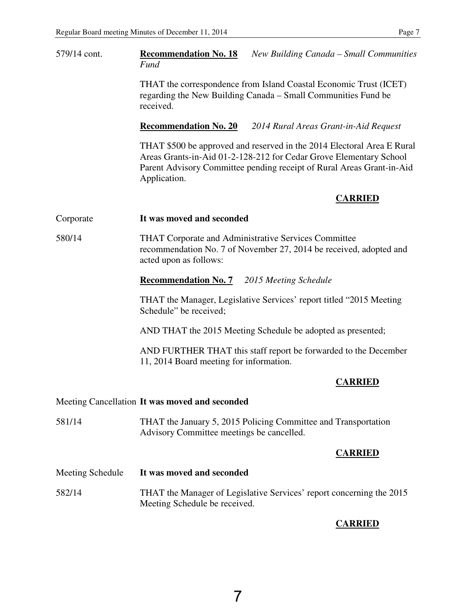| 579/14 cont.     | <b>Recommendation No. 18</b><br>New Building Canada – Small Communities<br>Fund                                                                                                                                                       |
|------------------|---------------------------------------------------------------------------------------------------------------------------------------------------------------------------------------------------------------------------------------|
|                  | THAT the correspondence from Island Coastal Economic Trust (ICET)<br>regarding the New Building Canada – Small Communities Fund be<br>received.                                                                                       |
|                  | <b>Recommendation No. 20</b><br>2014 Rural Areas Grant-in-Aid Request                                                                                                                                                                 |
|                  | THAT \$500 be approved and reserved in the 2014 Electoral Area E Rural<br>Areas Grants-in-Aid 01-2-128-212 for Cedar Grove Elementary School<br>Parent Advisory Committee pending receipt of Rural Areas Grant-in-Aid<br>Application. |
|                  | <b>CARRIED</b>                                                                                                                                                                                                                        |
| Corporate        | It was moved and seconded                                                                                                                                                                                                             |
| 580/14           | THAT Corporate and Administrative Services Committee<br>recommendation No. 7 of November 27, 2014 be received, adopted and<br>acted upon as follows:                                                                                  |
|                  | <b>Recommendation No. 7</b><br>2015 Meeting Schedule                                                                                                                                                                                  |
|                  | THAT the Manager, Legislative Services' report titled "2015 Meeting<br>Schedule" be received;                                                                                                                                         |
|                  | AND THAT the 2015 Meeting Schedule be adopted as presented;                                                                                                                                                                           |
|                  | AND FURTHER THAT this staff report be forwarded to the December<br>11, 2014 Board meeting for information.                                                                                                                            |
|                  | <b>CARRIED</b>                                                                                                                                                                                                                        |
|                  | Meeting Cancellation It was moved and seconded                                                                                                                                                                                        |
| 581/14           | THAT the January 5, 2015 Policing Committee and Transportation<br>Advisory Committee meetings be cancelled.                                                                                                                           |
|                  | <b>CARRIED</b>                                                                                                                                                                                                                        |
| Meeting Schedule | It was moved and seconded                                                                                                                                                                                                             |
| 582/14           | THAT the Manager of Legislative Services' report concerning the 2015                                                                                                                                                                  |

Meeting Schedule be received.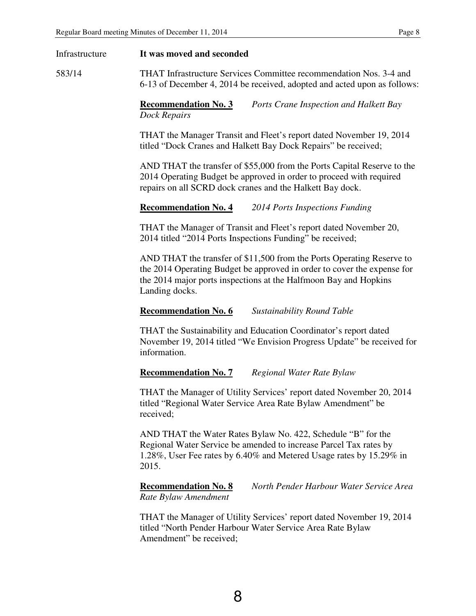| Infrastructure | It was moved and seconded                                                                                                                                                                                                              |
|----------------|----------------------------------------------------------------------------------------------------------------------------------------------------------------------------------------------------------------------------------------|
| 583/14         | THAT Infrastructure Services Committee recommendation Nos. 3-4 and<br>6-13 of December 4, 2014 be received, adopted and acted upon as follows:                                                                                         |
|                | <b>Recommendation No. 3</b><br>Ports Crane Inspection and Halkett Bay<br><b>Dock Repairs</b>                                                                                                                                           |
|                | THAT the Manager Transit and Fleet's report dated November 19, 2014<br>titled "Dock Cranes and Halkett Bay Dock Repairs" be received;                                                                                                  |
|                | AND THAT the transfer of \$55,000 from the Ports Capital Reserve to the<br>2014 Operating Budget be approved in order to proceed with required<br>repairs on all SCRD dock cranes and the Halkett Bay dock.                            |
|                | <b>Recommendation No. 4</b><br>2014 Ports Inspections Funding                                                                                                                                                                          |
|                | THAT the Manager of Transit and Fleet's report dated November 20,<br>2014 titled "2014 Ports Inspections Funding" be received;                                                                                                         |
|                | AND THAT the transfer of \$11,500 from the Ports Operating Reserve to<br>the 2014 Operating Budget be approved in order to cover the expense for<br>the 2014 major ports inspections at the Halfmoon Bay and Hopkins<br>Landing docks. |
|                | <b>Recommendation No. 6</b><br><b>Sustainability Round Table</b>                                                                                                                                                                       |
|                | THAT the Sustainability and Education Coordinator's report dated<br>November 19, 2014 titled "We Envision Progress Update" be received for<br>information.                                                                             |
|                | <b>Recommendation No. 7</b><br>Regional Water Rate Bylaw                                                                                                                                                                               |
|                | THAT the Manager of Utility Services' report dated November 20, 2014<br>titled "Regional Water Service Area Rate Bylaw Amendment" be<br>received;                                                                                      |
|                | AND THAT the Water Rates Bylaw No. 422, Schedule "B" for the<br>Regional Water Service be amended to increase Parcel Tax rates by<br>1.28%, User Fee rates by 6.40% and Metered Usage rates by 15.29% in<br>2015.                      |
|                | <b>Recommendation No. 8</b><br>North Pender Harbour Water Service Area<br>Rate Bylaw Amendment                                                                                                                                         |

 THAT the Manager of Utility Services' report dated November 19, 2014 titled "North Pender Harbour Water Service Area Rate Bylaw Amendment" be received;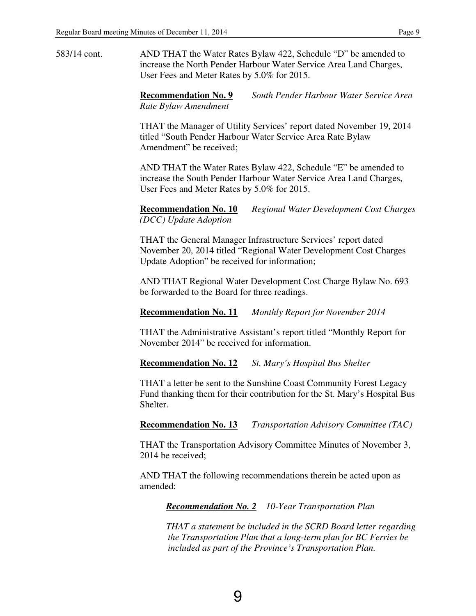583/14 cont. AND THAT the Water Rates Bylaw 422, Schedule "D" be amended to increase the North Pender Harbour Water Service Area Land Charges, User Fees and Meter Rates by 5.0% for 2015.

> **Recommendation No. 9** *South Pender Harbour Water Service Area Rate Bylaw Amendment*

> THAT the Manager of Utility Services' report dated November 19, 2014 titled "South Pender Harbour Water Service Area Rate Bylaw Amendment" be received;

 AND THAT the Water Rates Bylaw 422, Schedule "E" be amended to increase the South Pender Harbour Water Service Area Land Charges, User Fees and Meter Rates by 5.0% for 2015.

 **Recommendation No. 10** *Regional Water Development Cost Charges (DCC) Update Adoption* 

 THAT the General Manager Infrastructure Services' report dated November 20, 2014 titled "Regional Water Development Cost Charges Update Adoption" be received for information;

 AND THAT Regional Water Development Cost Charge Bylaw No. 693 be forwarded to the Board for three readings.

 **Recommendation No. 11** *Monthly Report for November 2014* 

THAT the Administrative Assistant's report titled "Monthly Report for November 2014" be received for information.

 **Recommendation No. 12** *St. Mary's Hospital Bus Shelter* 

THAT a letter be sent to the Sunshine Coast Community Forest Legacy Fund thanking them for their contribution for the St. Mary's Hospital Bus Shelter.

 **Recommendation No. 13** *Transportation Advisory Committee (TAC)* 

THAT the Transportation Advisory Committee Minutes of November 3, 2014 be received;

 AND THAT the following recommendations therein be acted upon as amended:

 *Recommendation No. 2 10-Year Transportation Plan* 

*THAT a statement be included in the SCRD Board letter regarding the Transportation Plan that a long-term plan for BC Ferries be included as part of the Province's Transportation Plan.*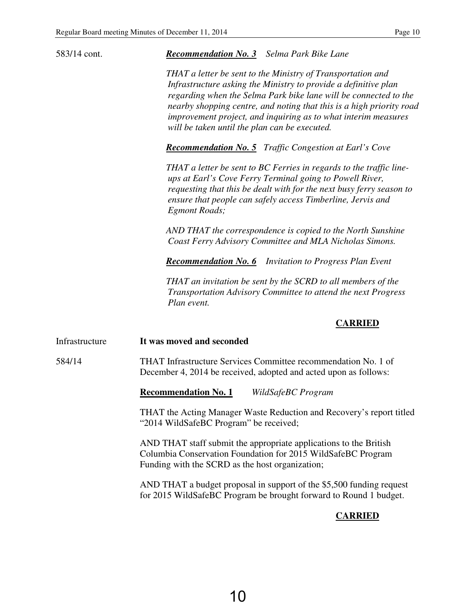| 583/14 cont.   | <b>Recommendation No. 3</b> Selma Park Bike Lane                                                                                                                                                                                                                                                                                                                                              |
|----------------|-----------------------------------------------------------------------------------------------------------------------------------------------------------------------------------------------------------------------------------------------------------------------------------------------------------------------------------------------------------------------------------------------|
|                | THAT a letter be sent to the Ministry of Transportation and<br>Infrastructure asking the Ministry to provide a definitive plan<br>regarding when the Selma Park bike lane will be connected to the<br>nearby shopping centre, and noting that this is a high priority road<br>improvement project, and inquiring as to what interim measures<br>will be taken until the plan can be executed. |
|                | <b>Recommendation No. 5</b> Traffic Congestion at Earl's Cove                                                                                                                                                                                                                                                                                                                                 |
|                | THAT a letter be sent to BC Ferries in regards to the traffic line-<br>ups at Earl's Cove Ferry Terminal going to Powell River,<br>requesting that this be dealt with for the next busy ferry season to<br>ensure that people can safely access Timberline, Jervis and<br>Egmont Roads;                                                                                                       |
|                | AND THAT the correspondence is copied to the North Sunshine<br>Coast Ferry Advisory Committee and MLA Nicholas Simons.                                                                                                                                                                                                                                                                        |
|                | <b>Recommendation No. 6</b> Invitation to Progress Plan Event                                                                                                                                                                                                                                                                                                                                 |
|                | THAT an invitation be sent by the SCRD to all members of the<br>Transportation Advisory Committee to attend the next Progress<br>Plan event.                                                                                                                                                                                                                                                  |
|                | <b>CARRIED</b>                                                                                                                                                                                                                                                                                                                                                                                |
| Infrastructure | It was moved and seconded                                                                                                                                                                                                                                                                                                                                                                     |
| 584/14         | THAT Infrastructure Services Committee recommendation No. 1 of<br>December 4, 2014 be received, adopted and acted upon as follows:                                                                                                                                                                                                                                                            |
|                | <b>Recommendation No. 1</b><br>WildSafeBC Program                                                                                                                                                                                                                                                                                                                                             |
|                | THAT the Acting Manager Waste Reduction and Recovery's report titled<br>"2014 WildSafeBC Program" be received;                                                                                                                                                                                                                                                                                |
|                | AND THAT staff submit the appropriate applications to the British<br>Columbia Conservation Foundation for 2015 WildSafeBC Program<br>Funding with the SCRD as the host organization;                                                                                                                                                                                                          |
|                |                                                                                                                                                                                                                                                                                                                                                                                               |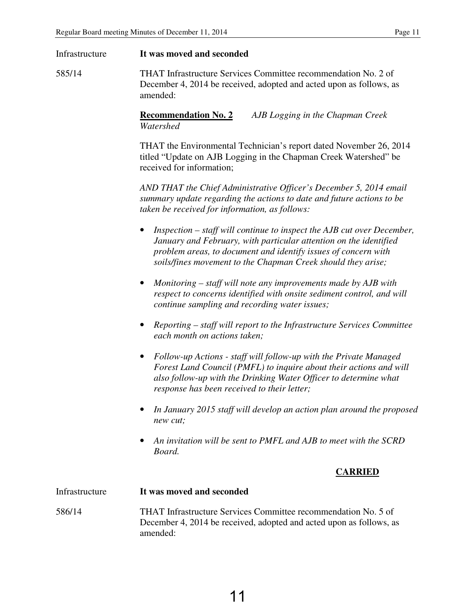| Infrastructure | It was moved and seconded                                                                                                                                                                                                                                                                  |  |  |  |  |
|----------------|--------------------------------------------------------------------------------------------------------------------------------------------------------------------------------------------------------------------------------------------------------------------------------------------|--|--|--|--|
| 585/14         | THAT Infrastructure Services Committee recommendation No. 2 of<br>December 4, 2014 be received, adopted and acted upon as follows, as<br>amended:                                                                                                                                          |  |  |  |  |
|                | <b>Recommendation No. 2</b><br>AJB Logging in the Chapman Creek<br>Watershed                                                                                                                                                                                                               |  |  |  |  |
|                | THAT the Environmental Technician's report dated November 26, 2014<br>titled "Update on AJB Logging in the Chapman Creek Watershed" be<br>received for information;                                                                                                                        |  |  |  |  |
|                | AND THAT the Chief Administrative Officer's December 5, 2014 email<br>summary update regarding the actions to date and future actions to be<br>taken be received for information, as follows:                                                                                              |  |  |  |  |
|                | Inspection – staff will continue to inspect the AJB cut over December,<br>$\bullet$<br>January and February, with particular attention on the identified<br>problem areas, to document and identify issues of concern with<br>soils/fines movement to the Chapman Creek should they arise; |  |  |  |  |
|                | Monitoring – staff will note any improvements made by AJB with<br>$\bullet$<br>respect to concerns identified with onsite sediment control, and will<br>continue sampling and recording water issues;                                                                                      |  |  |  |  |
|                | Reporting – staff will report to the Infrastructure Services Committee<br>$\bullet$<br>each month on actions taken;                                                                                                                                                                        |  |  |  |  |
|                | Follow-up Actions - staff will follow-up with the Private Managed<br>$\bullet$<br>Forest Land Council (PMFL) to inquire about their actions and will<br>also follow-up with the Drinking Water Officer to determine what<br>response has been received to their letter;                    |  |  |  |  |
|                | In January 2015 staff will develop an action plan around the proposed<br>new cut;                                                                                                                                                                                                          |  |  |  |  |
|                | An invitation will be sent to PMFL and AJB to meet with the SCRD<br>٠<br>Board.                                                                                                                                                                                                            |  |  |  |  |
|                | <b>CARRIED</b>                                                                                                                                                                                                                                                                             |  |  |  |  |
| Infrastructure | It was moved and seconded                                                                                                                                                                                                                                                                  |  |  |  |  |
| 586/14         | THAT Infrastructure Services Committee recommendation No. 5 of<br>December 4, 2014 be received, adopted and acted upon as follows, as<br>amended:                                                                                                                                          |  |  |  |  |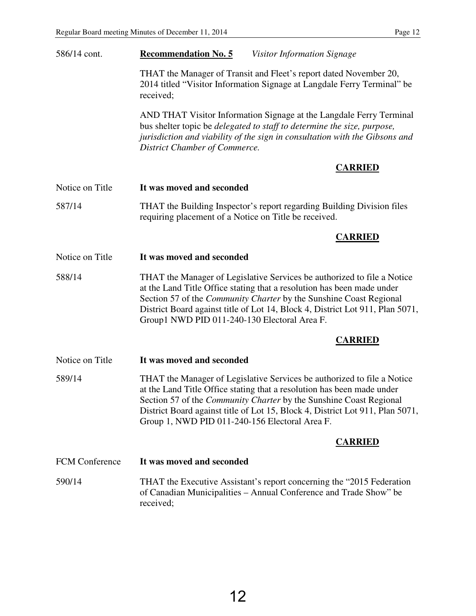| 586/14 cont.          | <b>Recommendation No. 5</b><br>Visitor Information Signage                                                                                                                                                                                                                                                                                                        |  |  |
|-----------------------|-------------------------------------------------------------------------------------------------------------------------------------------------------------------------------------------------------------------------------------------------------------------------------------------------------------------------------------------------------------------|--|--|
|                       | THAT the Manager of Transit and Fleet's report dated November 20,<br>2014 titled "Visitor Information Signage at Langdale Ferry Terminal" be<br>received;                                                                                                                                                                                                         |  |  |
|                       | AND THAT Visitor Information Signage at the Langdale Ferry Terminal<br>bus shelter topic be delegated to staff to determine the size, purpose,<br>jurisdiction and viability of the sign in consultation with the Gibsons and<br>District Chamber of Commerce.                                                                                                    |  |  |
|                       | <b>CARRIED</b>                                                                                                                                                                                                                                                                                                                                                    |  |  |
| Notice on Title       | It was moved and seconded                                                                                                                                                                                                                                                                                                                                         |  |  |
| 587/14                | THAT the Building Inspector's report regarding Building Division files<br>requiring placement of a Notice on Title be received.                                                                                                                                                                                                                                   |  |  |
|                       | <b>CARRIED</b>                                                                                                                                                                                                                                                                                                                                                    |  |  |
| Notice on Title       | It was moved and seconded                                                                                                                                                                                                                                                                                                                                         |  |  |
| 588/14                | THAT the Manager of Legislative Services be authorized to file a Notice<br>at the Land Title Office stating that a resolution has been made under<br>Section 57 of the Community Charter by the Sunshine Coast Regional<br>District Board against title of Lot 14, Block 4, District Lot 911, Plan 5071,<br>Group1 NWD PID 011-240-130 Electoral Area F.          |  |  |
|                       | <b>CARRIED</b>                                                                                                                                                                                                                                                                                                                                                    |  |  |
| Notice on Title       | It was moved and seconded                                                                                                                                                                                                                                                                                                                                         |  |  |
| 589/14                | THAT the Manager of Legislative Services be authorized to file a Notice<br>at the Land Title Office stating that a resolution has been made under<br>Section 57 of the <i>Community Charter</i> by the Sunshine Coast Regional<br>District Board against title of Lot 15, Block 4, District Lot 911, Plan 5071,<br>Group 1, NWD PID 011-240-156 Electoral Area F. |  |  |
|                       | <b>CARRIED</b>                                                                                                                                                                                                                                                                                                                                                    |  |  |
| <b>FCM</b> Conference | It was moved and seconded                                                                                                                                                                                                                                                                                                                                         |  |  |
| 590/14                | THAT the Executive Assistant's report concerning the "2015 Federation"<br>of Canadian Municipalities - Annual Conference and Trade Show" be<br>received;                                                                                                                                                                                                          |  |  |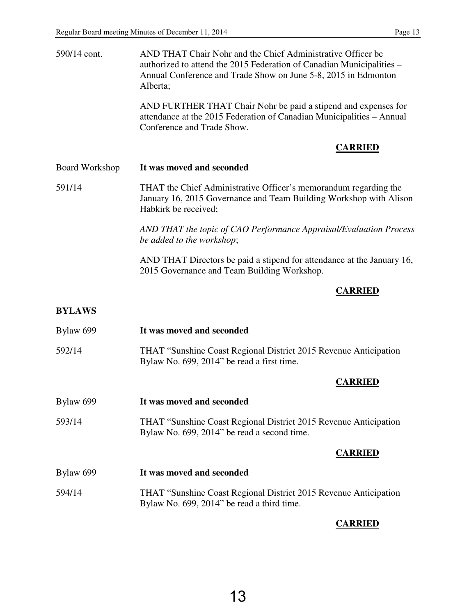| 590/14 cont.          | AND THAT Chair Nohr and the Chief Administrative Officer be<br>authorized to attend the 2015 Federation of Canadian Municipalities –<br>Annual Conference and Trade Show on June 5-8, 2015 in Edmonton<br>Alberta; |  |  |
|-----------------------|--------------------------------------------------------------------------------------------------------------------------------------------------------------------------------------------------------------------|--|--|
|                       | AND FURTHER THAT Chair Nohr be paid a stipend and expenses for<br>attendance at the 2015 Federation of Canadian Municipalities - Annual<br>Conference and Trade Show.                                              |  |  |
|                       | <b>CARRIED</b>                                                                                                                                                                                                     |  |  |
| <b>Board Workshop</b> | It was moved and seconded                                                                                                                                                                                          |  |  |
| 591/14                | THAT the Chief Administrative Officer's memorandum regarding the<br>January 16, 2015 Governance and Team Building Workshop with Alison<br>Habkirk be received;                                                     |  |  |
|                       | AND THAT the topic of CAO Performance Appraisal/Evaluation Process<br>be added to the workshop;                                                                                                                    |  |  |
|                       | AND THAT Directors be paid a stipend for attendance at the January 16,<br>2015 Governance and Team Building Workshop.                                                                                              |  |  |
|                       | <b>CARRIED</b>                                                                                                                                                                                                     |  |  |
| <b>BYLAWS</b>         |                                                                                                                                                                                                                    |  |  |
| Bylaw 699             | It was moved and seconded                                                                                                                                                                                          |  |  |
| 592/14                | THAT "Sunshine Coast Regional District 2015 Revenue Anticipation<br>Bylaw No. 699, 2014" be read a first time.                                                                                                     |  |  |
|                       | <b>CARRIED</b>                                                                                                                                                                                                     |  |  |
| Bylaw 699             | It was moved and seconded                                                                                                                                                                                          |  |  |
| 593/14                | THAT "Sunshine Coast Regional District 2015 Revenue Anticipation<br>Bylaw No. 699, 2014" be read a second time.                                                                                                    |  |  |
|                       | <b>CARRIED</b>                                                                                                                                                                                                     |  |  |
| Bylaw 699             | It was moved and seconded                                                                                                                                                                                          |  |  |
| 594/14                | THAT "Sunshine Coast Regional District 2015 Revenue Anticipation<br>Bylaw No. 699, 2014" be read a third time.                                                                                                     |  |  |
|                       |                                                                                                                                                                                                                    |  |  |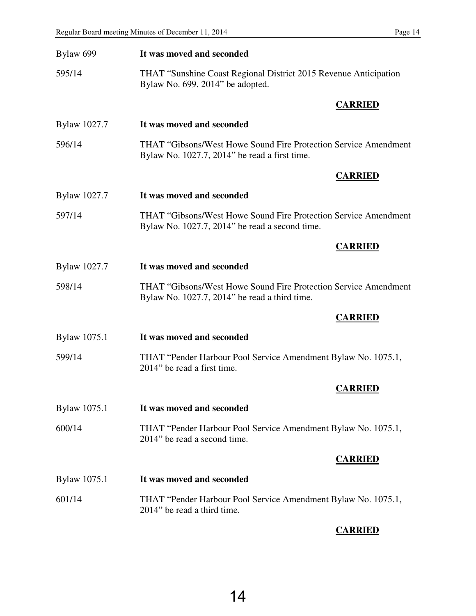| Bylaw 699    | It was moved and seconded                                                                                               |  |  |
|--------------|-------------------------------------------------------------------------------------------------------------------------|--|--|
| 595/14       | THAT "Sunshine Coast Regional District 2015 Revenue Anticipation<br>Bylaw No. 699, 2014" be adopted.                    |  |  |
|              | <b>CARRIED</b>                                                                                                          |  |  |
| Bylaw 1027.7 | It was moved and seconded                                                                                               |  |  |
| 596/14       | <b>THAT "Gibsons/West Howe Sound Fire Protection Service Amendment</b><br>Bylaw No. 1027.7, 2014" be read a first time. |  |  |
|              | <b>CARRIED</b>                                                                                                          |  |  |
| Bylaw 1027.7 | It was moved and seconded                                                                                               |  |  |
| 597/14       | THAT "Gibsons/West Howe Sound Fire Protection Service Amendment<br>Bylaw No. 1027.7, 2014" be read a second time.       |  |  |
|              | <b>CARRIED</b>                                                                                                          |  |  |
| Bylaw 1027.7 | It was moved and seconded                                                                                               |  |  |
| 598/14       | <b>THAT "Gibsons/West Howe Sound Fire Protection Service Amendment</b><br>Bylaw No. 1027.7, 2014" be read a third time. |  |  |
|              | <b>CARRIED</b>                                                                                                          |  |  |
| Bylaw 1075.1 | It was moved and seconded                                                                                               |  |  |
| 599/14       | THAT "Pender Harbour Pool Service Amendment Bylaw No. 1075.1,<br>2014" be read a first time.                            |  |  |
|              | <b>CARRIED</b>                                                                                                          |  |  |
| Bylaw 1075.1 | It was moved and seconded                                                                                               |  |  |
| 600/14       | THAT "Pender Harbour Pool Service Amendment Bylaw No. 1075.1,<br>2014" be read a second time.                           |  |  |
|              | <b>CARRIED</b>                                                                                                          |  |  |
| Bylaw 1075.1 | It was moved and seconded                                                                                               |  |  |
| 601/14       | THAT "Pender Harbour Pool Service Amendment Bylaw No. 1075.1,<br>2014" be read a third time.                            |  |  |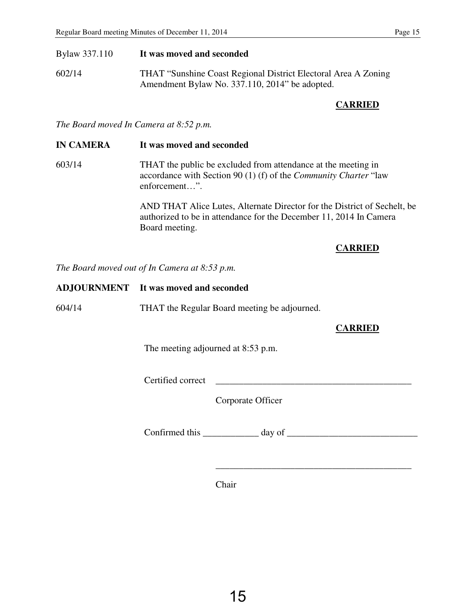## Bylaw 337.110 **It was moved and seconded**

602/14 THAT "Sunshine Coast Regional District Electoral Area A Zoning Amendment Bylaw No. 337.110, 2014" be adopted.

## **CARRIED**

*The Board moved In Camera at 8:52 p.m.* 

## **IN CAMERA It was moved and seconded**

603/14 THAT the public be excluded from attendance at the meeting in accordance with Section 90 (1) (f) of the *Community Charter* "law enforcement…".

> AND THAT Alice Lutes, Alternate Director for the District of Sechelt, be authorized to be in attendance for the December 11, 2014 In Camera Board meeting.

 $\overline{\phantom{a}}$  ,  $\overline{\phantom{a}}$  ,  $\overline{\phantom{a}}$  ,  $\overline{\phantom{a}}$  ,  $\overline{\phantom{a}}$  ,  $\overline{\phantom{a}}$  ,  $\overline{\phantom{a}}$  ,  $\overline{\phantom{a}}$  ,  $\overline{\phantom{a}}$  ,  $\overline{\phantom{a}}$  ,  $\overline{\phantom{a}}$  ,  $\overline{\phantom{a}}$  ,  $\overline{\phantom{a}}$  ,  $\overline{\phantom{a}}$  ,  $\overline{\phantom{a}}$  ,  $\overline{\phantom{a}}$ 

## **CARRIED**

*The Board moved out of In Camera at 8:53 p.m.* 

|        | ADJOURNMENT It was moved and seconded        |  |  |
|--------|----------------------------------------------|--|--|
| 604/14 | THAT the Regular Board meeting be adjourned. |  |  |
|        | <b>CARRIED</b>                               |  |  |
|        | The meeting adjourned at 8:53 p.m.           |  |  |
|        | Certified correct                            |  |  |
|        | Corporate Officer                            |  |  |
|        | Confirmed this<br>day of                     |  |  |

Chair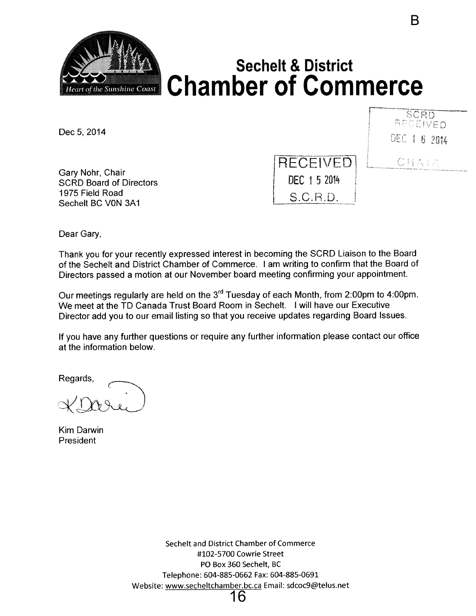<span id="page-18-0"></span>

Dec 5, 2014

SCRD RECEIVED DEC 1 8 2014

CHAIR

B

Gary Nohr, Chair SCRD Board of Directors 1975 Field Road Sechelt BC VON 3A1

RECEIVED DEC 15 2014  $S.C.R.D.$ 

Dear Gary,

Thank you for your recently expressed interest in becoming the SCRD Liaison to the Board of the Sechelt and District Chamber of Commerce, <sup>I</sup> am writing to confirm that the Board of Directors passed a motion at our November board meeting confirming your appointment.

Our meetings regularly are held on the 3<sup>rd</sup> Tuesday of each Month, from 2:00pm to 4:00pm. We meet at the TD Canada Trust Board Room in Sechelt. <sup>I</sup> will have our Executive Director add you to our email listing so that you receive updates regarding Board issues.

If you have any further questions or require any further information please contact our office at the information below.

Regards,

Kim Darwin President

Sechelt and District Chamber of Commerce #102-5700 Cowrie Street PG Box 360 Sechelt, BC Telephone: 604-885-0662 Fax: 604-885-0691 Website: www.secheltchamber.bc.ca Email: sdcoc9@telus.net 16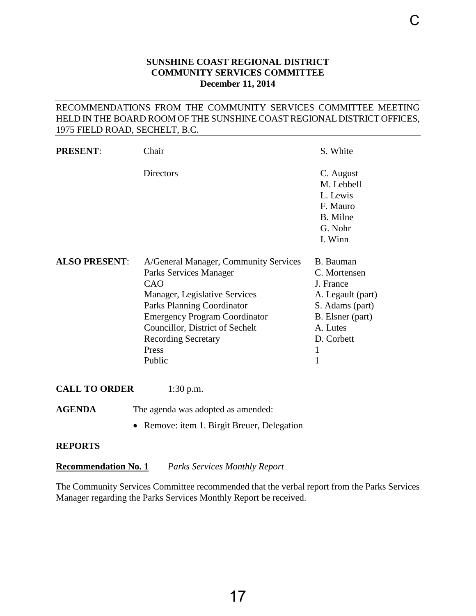## **SUNSHINE COAST REGIONAL DISTRICT COMMUNITY SERVICES COMMITTEE December 11, 2014**

## <span id="page-19-0"></span>RECOMMENDATIONS FROM THE COMMUNITY SERVICES COMMITTEE MEETING HELD IN THE BOARD ROOM OF THE SUNSHINE COAST REGIONAL DISTRICT OFFICES, 1975 FIELD ROAD, SECHELT, B.C.

| <b>PRESENT:</b>      | Chair                                                                                                                                                                                                                                                                    | S. White                                                                                                                                          |
|----------------------|--------------------------------------------------------------------------------------------------------------------------------------------------------------------------------------------------------------------------------------------------------------------------|---------------------------------------------------------------------------------------------------------------------------------------------------|
|                      | <b>Directors</b>                                                                                                                                                                                                                                                         | C. August<br>M. Lebbell<br>L. Lewis<br>F. Mauro<br>B. Milne<br>G. Nohr<br>I. Winn                                                                 |
| <b>ALSO PRESENT:</b> | A/General Manager, Community Services<br>Parks Services Manager<br>CAO<br>Manager, Legislative Services<br><b>Parks Planning Coordinator</b><br><b>Emergency Program Coordinator</b><br>Councillor, District of Sechelt<br><b>Recording Secretary</b><br>Press<br>Public | B. Bauman<br>C. Mortensen<br>J. France<br>A. Legault (part)<br>S. Adams (part)<br>B. Elsner (part)<br>A. Lutes<br>D. Corbett<br>1<br>$\mathbf{1}$ |

**CALL TO ORDER** 1:30 p.m.

AGENDA The agenda was adopted as amended:

• Remove: item 1. Birgit Breuer, Delegation

#### **REPORTS**

**Recommendation No. 1** *Parks Services Monthly Report*

The Community Services Committee recommended that the verbal report from the Parks Services Manager regarding the Parks Services Monthly Report be received.

 $\cap$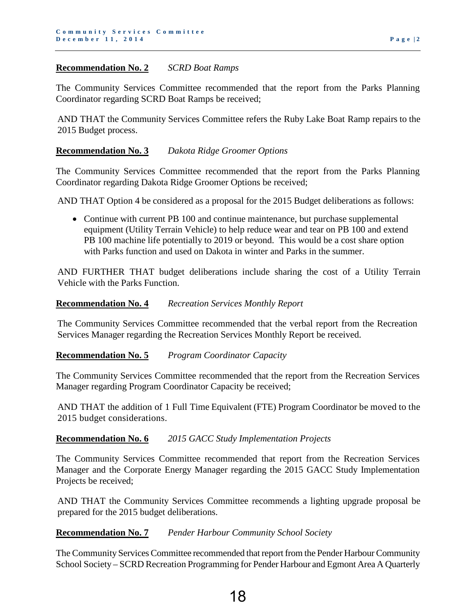## **Recommendation No. 2** *SCRD Boat Ramps*

The Community Services Committee recommended that the report from the Parks Planning Coordinator regarding SCRD Boat Ramps be received;

AND THAT the Community Services Committee refers the Ruby Lake Boat Ramp repairs to the 2015 Budget process.

## **Recommendation No. 3** *Dakota Ridge Groomer Options*

The Community Services Committee recommended that the report from the Parks Planning Coordinator regarding Dakota Ridge Groomer Options be received;

AND THAT Option 4 be considered as a proposal for the 2015 Budget deliberations as follows:

• Continue with current PB 100 and continue maintenance, but purchase supplemental equipment (Utility Terrain Vehicle) to help reduce wear and tear on PB 100 and extend PB 100 machine life potentially to 2019 or beyond. This would be a cost share option with Parks function and used on Dakota in winter and Parks in the summer.

AND FURTHER THAT budget deliberations include sharing the cost of a Utility Terrain Vehicle with the Parks Function.

## **Recommendation No. 4** *Recreation Services Monthly Report*

The Community Services Committee recommended that the verbal report from the Recreation Services Manager regarding the Recreation Services Monthly Report be received.

**Recommendation No. 5** *Program Coordinator Capacity* 

The Community Services Committee recommended that the report from the Recreation Services Manager regarding Program Coordinator Capacity be received;

AND THAT the addition of 1 Full Time Equivalent (FTE) Program Coordinator be moved to the 2015 budget considerations.

## **Recommendation No. 6** *2015 GACC Study Implementation Projects*

The Community Services Committee recommended that report from the Recreation Services Manager and the Corporate Energy Manager regarding the 2015 GACC Study Implementation Projects be received;

AND THAT the Community Services Committee recommends a lighting upgrade proposal be prepared for the 2015 budget deliberations.

## **Recommendation No. 7** *Pender Harbour Community School Society*

The Community Services Committee recommended that report from the Pender Harbour Community School Society – SCRD Recreation Programming for Pender Harbour and Egmont Area A Quarterly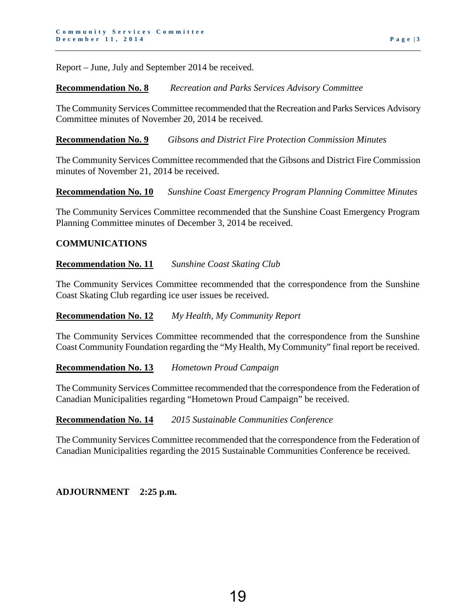Report – June, July and September 2014 be received.

## **Recommendation No. 8** *Recreation and Parks Services Advisory Committee*

The Community Services Committee recommended that the Recreation and Parks Services Advisory Committee minutes of November 20, 2014 be received.

**Recommendation No. 9** *Gibsons and District Fire Protection Commission Minutes* 

The Community Services Committee recommended that the Gibsons and District Fire Commission minutes of November 21, 2014 be received.

**Recommendation No. 10** *Sunshine Coast Emergency Program Planning Committee Minutes* 

The Community Services Committee recommended that the Sunshine Coast Emergency Program Planning Committee minutes of December 3, 2014 be received.

## **COMMUNICATIONS**

#### **Recommendation No. 11** *Sunshine Coast Skating Club*

The Community Services Committee recommended that the correspondence from the Sunshine Coast Skating Club regarding ice user issues be received.

#### **Recommendation No. 12** *My Health, My Community Report*

The Community Services Committee recommended that the correspondence from the Sunshine Coast Community Foundation regarding the "My Health, My Community" final report be received.

#### **Recommendation No. 13** *Hometown Proud Campaign*

The Community Services Committee recommended that the correspondence from the Federation of Canadian Municipalities regarding "Hometown Proud Campaign" be received.

#### **Recommendation No. 14** *2015 Sustainable Communities Conference*

The Community Services Committee recommended that the correspondence from the Federation of Canadian Municipalities regarding the 2015 Sustainable Communities Conference be received.

## **ADJOURNMENT 2:25 p.m.**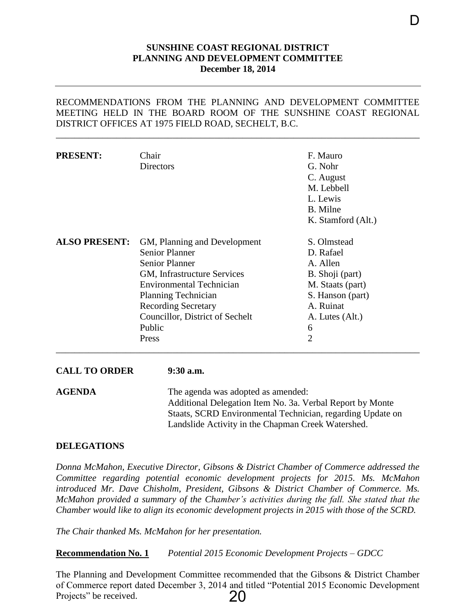#### **SUNSHINE COAST REGIONAL DISTRICT PLANNING AND DEVELOPMENT COMMITTEE December 18, 2014**

## <span id="page-22-0"></span>RECOMMENDATIONS FROM THE PLANNING AND DEVELOPMENT COMMITTEE MEETING HELD IN THE BOARD ROOM OF THE SUNSHINE COAST REGIONAL DISTRICT OFFICES AT 1975 FIELD ROAD, SECHELT, B.C.

\_\_\_\_\_\_\_\_\_\_\_\_\_\_\_\_\_\_\_\_\_\_\_\_\_\_\_\_\_\_\_\_\_\_\_\_\_\_\_\_\_\_\_\_\_\_\_\_\_\_\_\_\_\_\_\_\_\_\_\_\_\_\_\_\_\_\_\_\_\_\_\_\_\_\_\_\_\_

| Chair<br><b>Directors</b>       | F. Mauro<br>G. Nohr<br>C. August<br>M. Lebbell           |
|---------------------------------|----------------------------------------------------------|
|                                 |                                                          |
|                                 |                                                          |
|                                 |                                                          |
|                                 |                                                          |
|                                 | L. Lewis                                                 |
|                                 | B. Milne                                                 |
|                                 | K. Stamford (Alt.)                                       |
| GM, Planning and Development    | S. Olmstead                                              |
| <b>Senior Planner</b>           | D. Rafael                                                |
| <b>Senior Planner</b>           | A. Allen                                                 |
| GM, Infrastructure Services     | B. Shoji (part)                                          |
| <b>Environmental Technician</b> | M. Staats (part)                                         |
|                                 | S. Hanson (part)                                         |
|                                 | A. Ruinat                                                |
| Councillor, District of Sechelt | A. Lutes (Alt.)                                          |
| Public                          | 6                                                        |
| Press                           | $\overline{2}$                                           |
|                                 | <b>Planning Technician</b><br><b>Recording Secretary</b> |

**AGENDA** The agenda was adopted as amended: Additional Delegation Item No. 3a. Verbal Report by Monte Staats, SCRD Environmental Technician, regarding Update on Landslide Activity in the Chapman Creek Watershed.

#### **DELEGATIONS**

*Donna McMahon, Executive Director, Gibsons & District Chamber of Commerce addressed the Committee regarding potential economic development projects for 2015. Ms. McMahon introduced Mr. Dave Chisholm, President, Gibsons & District Chamber of Commerce. Ms. McMahon provided a summary of the Chamber's activities during the fall. She stated that the Chamber would like to align its economic development projects in 2015 with those of the SCRD.* 

*The Chair thanked Ms. McMahon for her presentation.*

**Recommendation No. 1** *Potential 2015 Economic Development Projects – GDCC* 

The Planning and Development Committee recommended that the Gibsons & District Chamber of Commerce report dated December 3, 2014 and titled "Potential 2015 Economic Development Projects" be received. 20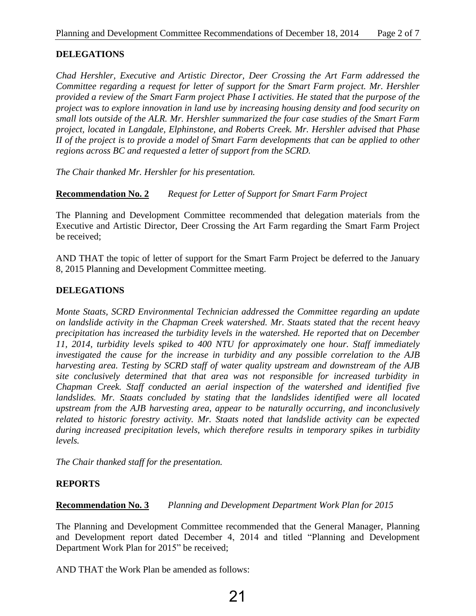## **DELEGATIONS**

*Chad Hershler, Executive and Artistic Director, Deer Crossing the Art Farm addressed the Committee regarding a request for letter of support for the Smart Farm project. Mr. Hershler provided a review of the Smart Farm project Phase I activities. He stated that the purpose of the project was to explore innovation in land use by increasing housing density and food security on small lots outside of the ALR. Mr. Hershler summarized the four case studies of the Smart Farm project, located in Langdale, Elphinstone, and Roberts Creek. Mr. Hershler advised that Phase II of the project is to provide a model of Smart Farm developments that can be applied to other regions across BC and requested a letter of support from the SCRD.* 

*The Chair thanked Mr. Hershler for his presentation.*

**Recommendation No. 2** *Request for Letter of Support for Smart Farm Project* 

The Planning and Development Committee recommended that delegation materials from the Executive and Artistic Director, Deer Crossing the Art Farm regarding the Smart Farm Project be received;

AND THAT the topic of letter of support for the Smart Farm Project be deferred to the January 8, 2015 Planning and Development Committee meeting.

## **DELEGATIONS**

*Monte Staats, SCRD Environmental Technician addressed the Committee regarding an update on landslide activity in the Chapman Creek watershed. Mr. Staats stated that the recent heavy precipitation has increased the turbidity levels in the watershed. He reported that on December 11, 2014, turbidity levels spiked to 400 NTU for approximately one hour. Staff immediately investigated the cause for the increase in turbidity and any possible correlation to the AJB harvesting area. Testing by SCRD staff of water quality upstream and downstream of the AJB site conclusively determined that that area was not responsible for increased turbidity in Chapman Creek. Staff conducted an aerial inspection of the watershed and identified five*  landslides. Mr. Staats concluded by stating that the landslides identified were all located *upstream from the AJB harvesting area, appear to be naturally occurring, and inconclusively related to historic forestry activity. Mr. Staats noted that landslide activity can be expected during increased precipitation levels, which therefore results in temporary spikes in turbidity levels.* 

*The Chair thanked staff for the presentation.*

## **REPORTS**

**Recommendation No. 3** *Planning and Development Department Work Plan for 2015* 

The Planning and Development Committee recommended that the General Manager, Planning and Development report dated December 4, 2014 and titled "Planning and Development Department Work Plan for 2015" be received;

AND THAT the Work Plan be amended as follows: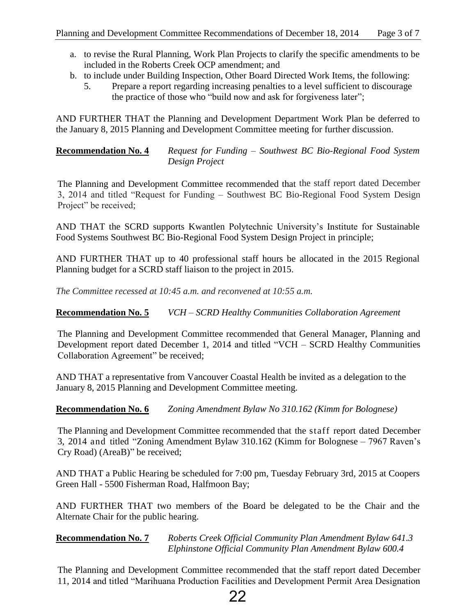- a. to revise the Rural Planning, Work Plan Projects to clarify the specific amendments to be included in the Roberts Creek OCP amendment; and
- b. to include under Building Inspection, Other Board Directed Work Items, the following:
	- 5. Prepare a report regarding increasing penalties to a level sufficient to discourage the practice of those who "build now and ask for forgiveness later";

AND FURTHER THAT the Planning and Development Department Work Plan be deferred to the January 8, 2015 Planning and Development Committee meeting for further discussion.

**Recommendation No. 4** *Request for Funding – Southwest BC Bio-Regional Food System Design Project* 

The Planning and Development Committee recommended that the staff report dated December 3, 2014 and titled "Request for Funding – Southwest BC Bio-Regional Food System Design Project" be received;

AND THAT the SCRD supports Kwantlen Polytechnic University's Institute for Sustainable Food Systems Southwest BC Bio-Regional Food System Design Project in principle;

AND FURTHER THAT up to 40 professional staff hours be allocated in the 2015 Regional Planning budget for a SCRD staff liaison to the project in 2015.

*The Committee recessed at 10:45 a.m. and reconvened at 10:55 a.m.* 

**Recommendation No. 5** *VCH – SCRD Healthy Communities Collaboration Agreement* 

The Planning and Development Committee recommended that General Manager, Planning and Development report dated December 1, 2014 and titled "VCH – SCRD Healthy Communities Collaboration Agreement" be received;

AND THAT a representative from Vancouver Coastal Health be invited as a delegation to the January 8, 2015 Planning and Development Committee meeting.

**Recommendation No. 6** *Zoning Amendment Bylaw No 310.162 (Kimm for Bolognese)* 

The Planning and Development Committee recommended that the staff report dated December 3, 2014 and titled "Zoning Amendment Bylaw 310.162 (Kimm for Bolognese – 7967 Raven's Cry Road) (AreaB)" be received;

AND THAT a Public Hearing be scheduled for 7:00 pm, Tuesday February 3rd, 2015 at Coopers Green Hall - 5500 Fisherman Road, Halfmoon Bay;

AND FURTHER THAT two members of the Board be delegated to be the Chair and the Alternate Chair for the public hearing.

**Recommendation No. 7** *Roberts Creek Official Community Plan Amendment Bylaw 641.3 Elphinstone Official Community Plan Amendment Bylaw 600.4* 

The Planning and Development Committee recommended that the staff report dated December 11, 2014 and titled "Marihuana Production Facilities and Development Permit Area Designation

## 22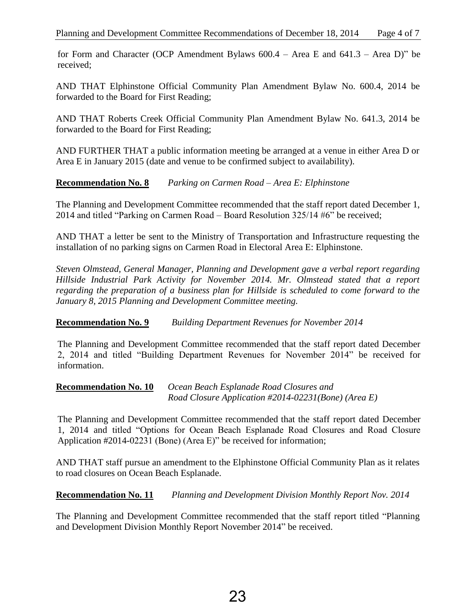for Form and Character (OCP Amendment Bylaws 600.4 – Area E and 641.3 – Area D)" be received;

AND THAT Elphinstone Official Community Plan Amendment Bylaw No. 600.4, 2014 be forwarded to the Board for First Reading;

AND THAT Roberts Creek Official Community Plan Amendment Bylaw No. 641.3, 2014 be forwarded to the Board for First Reading;

AND FURTHER THAT a public information meeting be arranged at a venue in either Area D or Area E in January 2015 (date and venue to be confirmed subject to availability).

## **Recommendation No. 8** *Parking on Carmen Road – Area E: Elphinstone*

The Planning and Development Committee recommended that the staff report dated December 1, 2014 and titled "Parking on Carmen Road – Board Resolution 325/14 #6" be received;

AND THAT a letter be sent to the Ministry of Transportation and Infrastructure requesting the installation of no parking signs on Carmen Road in Electoral Area E: Elphinstone.

*Steven Olmstead, General Manager, Planning and Development gave a verbal report regarding Hillside Industrial Park Activity for November 2014. Mr. Olmstead stated that a report regarding the preparation of a business plan for Hillside is scheduled to come forward to the January 8, 2015 Planning and Development Committee meeting.* 

## **Recommendation No. 9** *Building Department Revenues for November 2014*

The Planning and Development Committee recommended that the staff report dated December 2, 2014 and titled "Building Department Revenues for November 2014" be received for information.

## **Recommendation No. 10** *Ocean Beach Esplanade Road Closures and Road Closure Application #2014-02231(Bone) (Area E)*

The Planning and Development Committee recommended that the staff report dated December 1, 2014 and titled "Options for Ocean Beach Esplanade Road Closures and Road Closure Application #2014-02231 (Bone) (Area E)" be received for information;

AND THAT staff pursue an amendment to the Elphinstone Official Community Plan as it relates to road closures on Ocean Beach Esplanade.

**Recommendation No. 11** *Planning and Development Division Monthly Report Nov. 2014*

The Planning and Development Committee recommended that the staff report titled "Planning and Development Division Monthly Report November 2014" be received.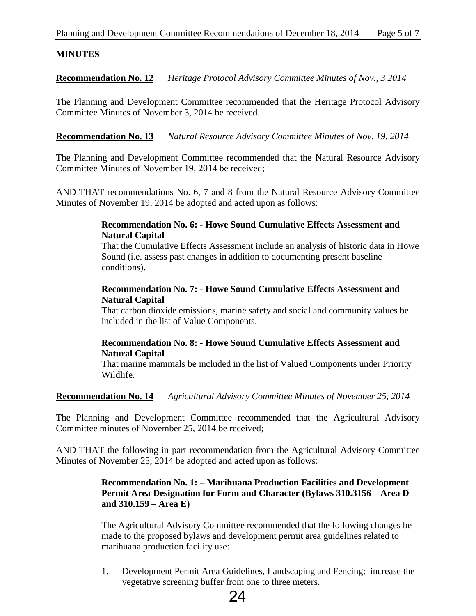## **MINUTES**

**Recommendation No. 12** *Heritage Protocol Advisory Committee Minutes of Nov., 3 2014*

The Planning and Development Committee recommended that the Heritage Protocol Advisory Committee Minutes of November 3, 2014 be received.

**Recommendation No. 13** *Natural Resource Advisory Committee Minutes of Nov. 19, 2014* 

The Planning and Development Committee recommended that the Natural Resource Advisory Committee Minutes of November 19, 2014 be received;

AND THAT recommendations No. 6, 7 and 8 from the Natural Resource Advisory Committee Minutes of November 19, 2014 be adopted and acted upon as follows:

## **Recommendation No. 6: - Howe Sound Cumulative Effects Assessment and Natural Capital**

That the Cumulative Effects Assessment include an analysis of historic data in Howe Sound (i.e. assess past changes in addition to documenting present baseline conditions).

## **Recommendation No. 7: - Howe Sound Cumulative Effects Assessment and Natural Capital**

That carbon dioxide emissions, marine safety and social and community values be included in the list of Value Components.

## **Recommendation No. 8: - Howe Sound Cumulative Effects Assessment and Natural Capital**

That marine mammals be included in the list of Valued Components under Priority Wildlife.

**Recommendation No. 14** *Agricultural Advisory Committee Minutes of November 25, 2014* 

The Planning and Development Committee recommended that the Agricultural Advisory Committee minutes of November 25, 2014 be received;

AND THAT the following in part recommendation from the Agricultural Advisory Committee Minutes of November 25, 2014 be adopted and acted upon as follows:

## **Recommendation No. 1: – Marihuana Production Facilities and Development Permit Area Designation for Form and Character (Bylaws 310.3156 – Area D and 310.159 – Area E)**

The Agricultural Advisory Committee recommended that the following changes be made to the proposed bylaws and development permit area guidelines related to marihuana production facility use:

1. Development Permit Area Guidelines, Landscaping and Fencing: increase the vegetative screening buffer from one to three meters.

## 24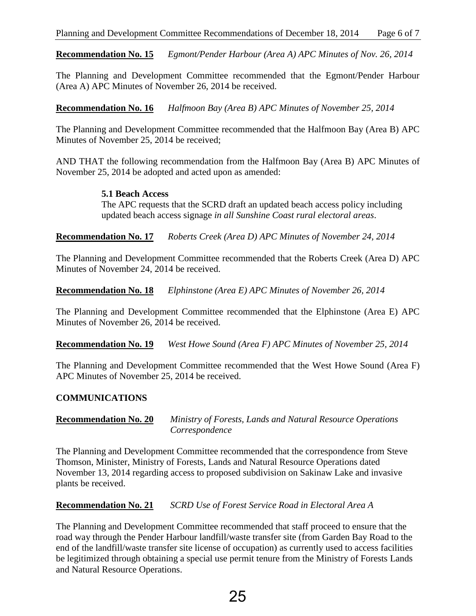**Recommendation No. 15** *Egmont/Pender Harbour (Area A) APC Minutes of Nov. 26, 2014*

The Planning and Development Committee recommended that the Egmont/Pender Harbour (Area A) APC Minutes of November 26, 2014 be received.

**Recommendation No. 16** *Halfmoon Bay (Area B) APC Minutes of November 25, 2014*

The Planning and Development Committee recommended that the Halfmoon Bay (Area B) APC Minutes of November 25, 2014 be received;

AND THAT the following recommendation from the Halfmoon Bay (Area B) APC Minutes of November 25, 2014 be adopted and acted upon as amended:

**5.1 Beach Access** 

The APC requests that the SCRD draft an updated beach access policy including updated beach access signage *in all Sunshine Coast rural electoral areas*.

**Recommendation No. 17** *Roberts Creek (Area D) APC Minutes of November 24, 2014*

The Planning and Development Committee recommended that the Roberts Creek (Area D) APC Minutes of November 24, 2014 be received.

**Recommendation No. 18** *Elphinstone (Area E) APC Minutes of November 26, 2014*

The Planning and Development Committee recommended that the Elphinstone (Area E) APC Minutes of November 26, 2014 be received.

**Recommendation No. 19** *West Howe Sound (Area F) APC Minutes of November 25, 2014* 

The Planning and Development Committee recommended that the West Howe Sound (Area F) APC Minutes of November 25, 2014 be received.

## **COMMUNICATIONS**

**Recommendation No. 20** *Ministry of Forests, Lands and Natural Resource Operations Correspondence*

The Planning and Development Committee recommended that the correspondence from Steve Thomson, Minister, Ministry of Forests, Lands and Natural Resource Operations dated November 13, 2014 regarding access to proposed subdivision on Sakinaw Lake and invasive plants be received.

**Recommendation No. 21** *SCRD Use of Forest Service Road in Electoral Area A*

The Planning and Development Committee recommended that staff proceed to ensure that the road way through the Pender Harbour landfill/waste transfer site (from Garden Bay Road to the end of the landfill/waste transfer site license of occupation) as currently used to access facilities be legitimized through obtaining a special use permit tenure from the Ministry of Forests Lands and Natural Resource Operations.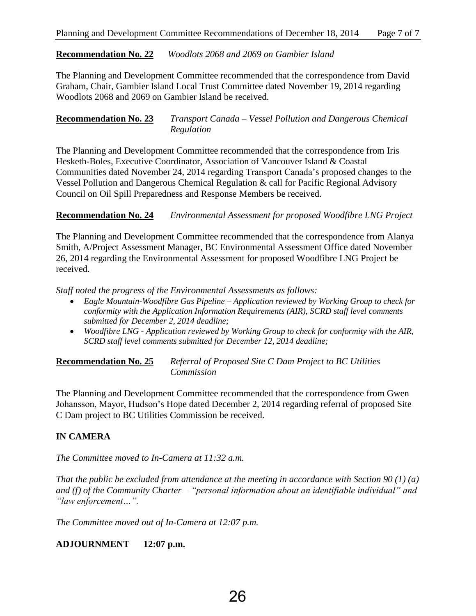## **Recommendation No. 22** *Woodlots 2068 and 2069 on Gambier Island*

The Planning and Development Committee recommended that the correspondence from David Graham, Chair, Gambier Island Local Trust Committee dated November 19, 2014 regarding Woodlots 2068 and 2069 on Gambier Island be received.

## **Recommendation No. 23** *Transport Canada – Vessel Pollution and Dangerous Chemical Regulation*

The Planning and Development Committee recommended that the correspondence from Iris Hesketh-Boles, Executive Coordinator, Association of Vancouver Island & Coastal Communities dated November 24, 2014 regarding Transport Canada's proposed changes to the Vessel Pollution and Dangerous Chemical Regulation & call for Pacific Regional Advisory Council on Oil Spill Preparedness and Response Members be received.

## **Recommendation No. 24** *Environmental Assessment for proposed Woodfibre LNG Project*

The Planning and Development Committee recommended that the correspondence from Alanya Smith, A/Project Assessment Manager, BC Environmental Assessment Office dated November 26, 2014 regarding the Environmental Assessment for proposed Woodfibre LNG Project be received.

*Staff noted the progress of the Environmental Assessments as follows:* 

- *Eagle Mountain-Woodfibre Gas Pipeline – Application reviewed by Working Group to check for conformity with the Application Information Requirements (AIR), SCRD staff level comments submitted for December 2, 2014 deadline;*
- *Woodfibre LNG Application reviewed by Working Group to check for conformity with the AIR, SCRD staff level comments submitted for December 12, 2014 deadline;*

## **Recommendation No. 25** *Referral of Proposed Site C Dam Project to BC Utilities Commission*

The Planning and Development Committee recommended that the correspondence from Gwen Johansson, Mayor, Hudson's Hope dated December 2, 2014 regarding referral of proposed Site C Dam project to BC Utilities Commission be received.

## **IN CAMERA**

*The Committee moved to In-Camera at 11:32 a.m.*

*That the public be excluded from attendance at the meeting in accordance with Section 90 (1) (a) and (f) of the Community Charter – "personal information about an identifiable individual" and "law enforcement…".*

*The Committee moved out of In-Camera at 12:07 p.m.* 

## **ADJOURNMENT 12:07 p.m.**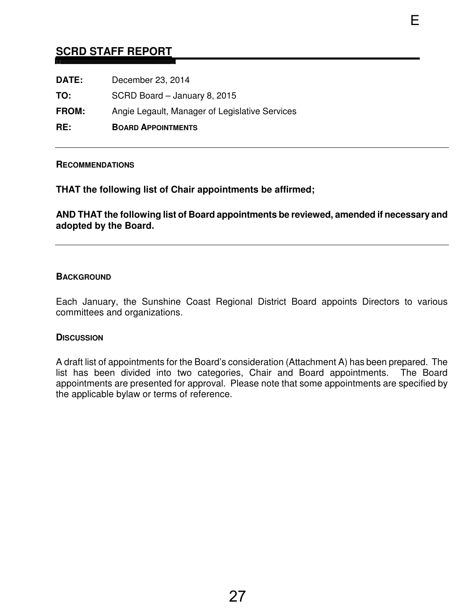## <span id="page-29-0"></span>**SCRD STAFF REPORT**

| RE:          | <b>BOARD APPOINTMENTS</b>                      |
|--------------|------------------------------------------------|
| <b>FROM:</b> | Angie Legault, Manager of Legislative Services |
| TO:          | SCRD Board - January 8, 2015                   |
| DATE:        | December 23, 2014                              |

#### **RECOMMENDATIONS**

**THAT the following list of Chair appointments be affirmed;** 

**AND THAT the following list of Board appointments be reviewed, amended if necessary and adopted by the Board.** 

E

## **BACKGROUND**

Each January, the Sunshine Coast Regional District Board appoints Directors to various committees and organizations.

#### **DISCUSSION**

A draft list of appointments for the Board's consideration (Attachment A) has been prepared. The list has been divided into two categories, Chair and Board appointments. The Board appointments are presented for approval. Please note that some appointments are specified by the applicable bylaw or terms of reference.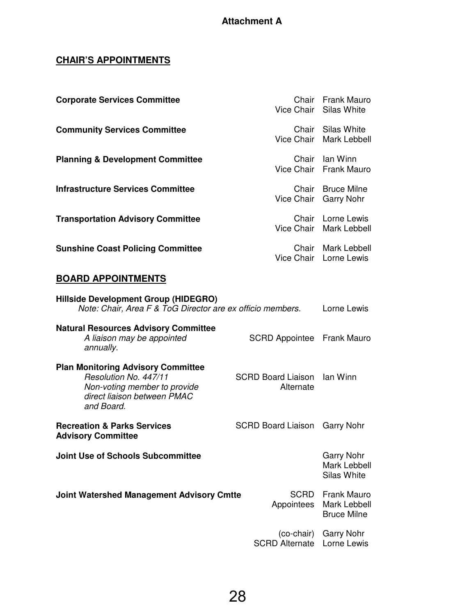## **CHAIR'S APPOINTMENTS**

| <b>Corporate Services Committee</b>                                                                                                             | Chair                                              | <b>Frank Mauro</b><br>Vice Chair Silas White             |
|-------------------------------------------------------------------------------------------------------------------------------------------------|----------------------------------------------------|----------------------------------------------------------|
| <b>Community Services Committee</b>                                                                                                             |                                                    | Chair Silas White<br>Vice Chair Mark Lebbell             |
| <b>Planning &amp; Development Committee</b>                                                                                                     |                                                    | Chair Ian Winn<br>Vice Chair Frank Mauro                 |
| <b>Infrastructure Services Committee</b>                                                                                                        | Chair<br>Vice Chair                                | <b>Bruce Milne</b><br><b>Garry Nohr</b>                  |
| <b>Transportation Advisory Committee</b>                                                                                                        |                                                    | Chair Lorne Lewis<br>Vice Chair Mark Lebbell             |
| <b>Sunshine Coast Policing Committee</b>                                                                                                        |                                                    | Chair Mark Lebbell<br>Vice Chair Lorne Lewis             |
| <b>BOARD APPOINTMENTS</b>                                                                                                                       |                                                    |                                                          |
| Hillside Development Group (HIDEGRO)<br>Note: Chair, Area F & ToG Director are ex officio members.                                              |                                                    | Lorne Lewis                                              |
| <b>Natural Resources Advisory Committee</b><br>A liaison may be appointed<br>annually.                                                          | SCRD Appointee Frank Mauro                         |                                                          |
| <b>Plan Monitoring Advisory Committee</b><br>Resolution No. 447/11<br>Non-voting member to provide<br>direct liaison between PMAC<br>and Board. | <b>SCRD Board Liaison</b><br>lan Winn<br>Alternate |                                                          |
| <b>Recreation &amp; Parks Services</b><br><b>Advisory Committee</b>                                                                             | <b>SCRD Board Liaison</b>                          | <b>Garry Nohr</b>                                        |
| <b>Joint Use of Schools Subcommittee</b>                                                                                                        |                                                    | <b>Garry Nohr</b><br><b>Mark Lebbell</b><br>Silas White  |
| <b>Joint Watershed Management Advisory Cmtte</b>                                                                                                | SCRD<br>Appointees                                 | <b>Frank Mauro</b><br>Mark Lebbell<br><b>Bruce Milne</b> |
|                                                                                                                                                 | (co-chair)<br><b>SCRD Alternate</b>                | <b>Garry Nohr</b><br>Lorne Lewis                         |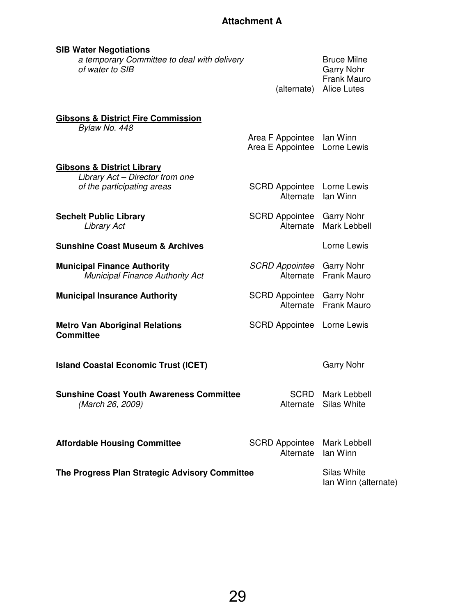| <b>SIB Water Negotiations</b><br>a temporary Committee to deal with delivery<br>of water to SIB        |                                               | <b>Bruce Milne</b><br><b>Garry Nohr</b><br><b>Frank Mauro</b><br>(alternate) Alice Lutes |
|--------------------------------------------------------------------------------------------------------|-----------------------------------------------|------------------------------------------------------------------------------------------|
| <b>Gibsons &amp; District Fire Commission</b><br>Bylaw No. 448                                         | Area F Appointee Ian Winn<br>Area E Appointee | Lorne Lewis                                                                              |
| <b>Gibsons &amp; District Library</b><br>Library Act - Director from one<br>of the participating areas | <b>SCRD Appointee</b><br>Alternate            | Lorne Lewis<br>lan Winn                                                                  |
| <b>Sechelt Public Library</b><br><b>Library Act</b>                                                    | <b>SCRD Appointee</b><br>Alternate            | <b>Garry Nohr</b><br>Mark Lebbell                                                        |
| <b>Sunshine Coast Museum &amp; Archives</b>                                                            |                                               | Lorne Lewis                                                                              |
| <b>Municipal Finance Authority</b><br><b>Municipal Finance Authority Act</b>                           | SCRD Appointee<br>Alternate                   | <b>Garry Nohr</b><br><b>Frank Mauro</b>                                                  |
| <b>Municipal Insurance Authority</b>                                                                   | <b>SCRD Appointee</b><br>Alternate            | <b>Garry Nohr</b><br><b>Frank Mauro</b>                                                  |
| <b>Metro Van Aboriginal Relations</b><br><b>Committee</b>                                              | <b>SCRD Appointee</b>                         | Lorne Lewis                                                                              |
| <b>Island Coastal Economic Trust (ICET)</b>                                                            |                                               | <b>Garry Nohr</b>                                                                        |
| <b>Sunshine Coast Youth Awareness Committee</b><br>(March 26, 2009)                                    | <b>SCRD</b><br>Alternate                      | Mark Lebbell<br>Silas White                                                              |
| <b>Affordable Housing Committee</b>                                                                    | <b>SCRD Appointee</b><br>Alternate            | Mark Lebbell<br>lan Winn                                                                 |

**The Progress Plan Strategic Advisory Committee** Silas White

Ian Winn (alternate)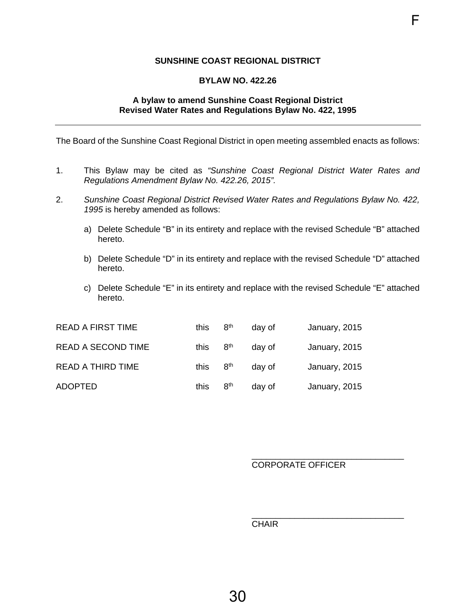## **SUNSHINE COAST REGIONAL DISTRICT**

F

#### **BYLAW NO. 422.26**

#### **A bylaw to amend Sunshine Coast Regional District Revised Water Rates and Regulations Bylaw No. 422, 1995**

<span id="page-32-0"></span>The Board of the Sunshine Coast Regional District in open meeting assembled enacts as follows:

- 1. This Bylaw may be cited as *"Sunshine Coast Regional District Water Rates and Regulations Amendment Bylaw No. 422.26, 2015".*
- 2. *Sunshine Coast Regional District Revised Water Rates and Regulations Bylaw No. 422, 1995* is hereby amended as follows:
	- a) Delete Schedule "B" in its entirety and replace with the revised Schedule "B" attached hereto.
	- b) Delete Schedule "D" in its entirety and replace with the revised Schedule "D" attached hereto.
	- c) Delete Schedule "E" in its entirety and replace with the revised Schedule "E" attached hereto.

| <b>READ A FIRST TIME</b>  | this | 8 <sup>th</sup> | day of | January, 2015 |
|---------------------------|------|-----------------|--------|---------------|
| <b>READ A SECOND TIME</b> | this | 8 <sup>th</sup> | day of | January, 2015 |
| <b>READ A THIRD TIME</b>  | this | 8 <sup>th</sup> | day of | January, 2015 |
| <b>ADOPTED</b>            | this | 8 <sup>th</sup> | day of | January, 2015 |

#### \_\_\_\_\_\_\_\_\_\_\_\_\_\_\_\_\_\_\_\_\_\_\_\_\_\_\_\_\_\_\_\_ CORPORATE OFFICER

**CHAIR CHAIR** 

 $\overline{\phantom{a}}$  , and the contract of the contract of the contract of the contract of the contract of the contract of the contract of the contract of the contract of the contract of the contract of the contract of the contrac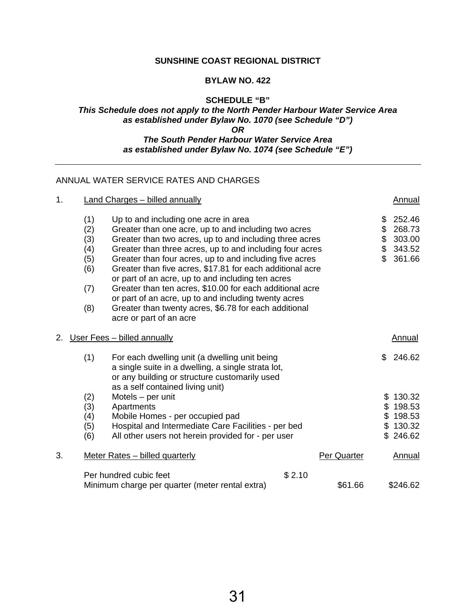## **SUNSHINE COAST REGIONAL DISTRICT**

#### **BYLAW NO. 422**

## **SCHEDULE "B"**  *This Schedule does not apply to the North Pender Harbour Water Service Area as established under Bylaw No. 1070 (see Schedule "D") OR The South Pender Harbour Water Service Area*

*as established under Bylaw No. 1074 (see Schedule "E")* 

## ANNUAL WATER SERVICE RATES AND CHARGES

| 1. |                                                      | <b>Land Charges - billed annually</b>                                                                                                                                                                                                                                                                                                                                                                                                                                                                                                                                                                    |        |                    |                             | Annual                                                   |
|----|------------------------------------------------------|----------------------------------------------------------------------------------------------------------------------------------------------------------------------------------------------------------------------------------------------------------------------------------------------------------------------------------------------------------------------------------------------------------------------------------------------------------------------------------------------------------------------------------------------------------------------------------------------------------|--------|--------------------|-----------------------------|----------------------------------------------------------|
|    | (1)<br>(2)<br>(3)<br>(4)<br>(5)<br>(6)<br>(7)<br>(8) | Up to and including one acre in area<br>Greater than one acre, up to and including two acres<br>Greater than two acres, up to and including three acres<br>Greater than three acres, up to and including four acres<br>Greater than four acres, up to and including five acres<br>Greater than five acres, \$17.81 for each additional acre<br>or part of an acre, up to and including ten acres<br>Greater than ten acres, \$10.00 for each additional acre<br>or part of an acre, up to and including twenty acres<br>Greater than twenty acres, \$6.78 for each additional<br>acre or part of an acre |        |                    | \$<br>\$<br>\$<br>\$<br>\$. | 252.46<br>268.73<br>303.00<br>343.52<br>361.66           |
| 2. |                                                      | User Fees - billed annually                                                                                                                                                                                                                                                                                                                                                                                                                                                                                                                                                                              |        |                    |                             | Annual                                                   |
|    | (1)                                                  | For each dwelling unit (a dwelling unit being<br>a single suite in a dwelling, a single strata lot,<br>or any building or structure customarily used                                                                                                                                                                                                                                                                                                                                                                                                                                                     |        |                    | \$.                         | 246.62                                                   |
|    | (2)<br>(3)<br>(4)<br>(5)<br>(6)                      | as a self contained living unit)<br>Motels - per unit<br>Apartments<br>Mobile Homes - per occupied pad<br>Hospital and Intermediate Care Facilities - per bed<br>All other users not herein provided for - per user                                                                                                                                                                                                                                                                                                                                                                                      |        |                    |                             | \$130.32<br>\$198.53<br>\$198.53<br>\$130.32<br>\$246.62 |
| 3. |                                                      | Meter Rates - billed quarterly                                                                                                                                                                                                                                                                                                                                                                                                                                                                                                                                                                           |        | <b>Per Quarter</b> |                             | Annual                                                   |
|    |                                                      | Per hundred cubic feet<br>Minimum charge per quarter (meter rental extra)                                                                                                                                                                                                                                                                                                                                                                                                                                                                                                                                | \$2.10 | \$61.66            |                             | \$246.62                                                 |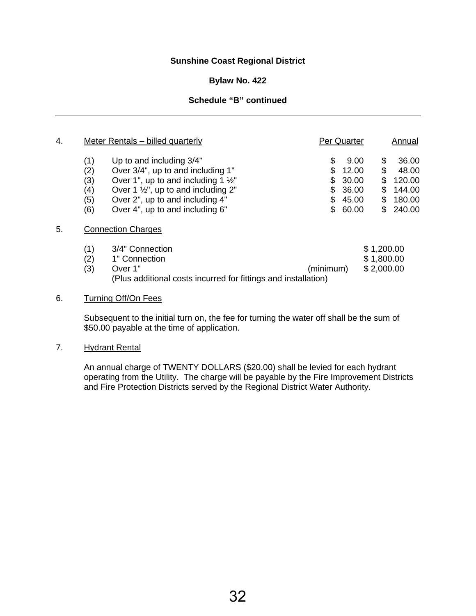## **Sunshine Coast Regional District**

#### **Bylaw No. 422**

## **Schedule "B" continued**

| 4. |     | Meter Rentals – billed quarterly                               | Per Quarter |              | Annual |
|----|-----|----------------------------------------------------------------|-------------|--------------|--------|
|    | (1) | Up to and including 3/4"                                       | \$          | 9.00<br>\$   | 36.00  |
|    | (2) | Over 3/4", up to and including 1"                              | \$          | \$<br>12.00  | 48.00  |
|    | (3) | Over 1", up to and including 1 $\frac{1}{2}$ "                 | \$          | 30.00<br>\$  | 120.00 |
|    | (4) | Over 1 $\frac{1}{2}$ , up to and including 2"                  | \$          | 36.00<br>\$  | 144.00 |
|    | (5) | Over 2", up to and including 4"                                | \$          | 45.00<br>S   | 180.00 |
|    | (6) | Over 4", up to and including 6"                                | \$          | 60.00<br>\$. | 240.00 |
| 5. |     | <b>Connection Charges</b>                                      |             |              |        |
|    | (1) | 3/4" Connection                                                |             | \$1,200.00   |        |
|    | (2) | 1" Connection                                                  |             | \$1,800.00   |        |
|    | (3) | Over 1"                                                        | (minimum)   | \$2,000.00   |        |
|    |     | (Plus additional costs incurred for fittings and installation) |             |              |        |

#### 6. Turning Off/On Fees

Subsequent to the initial turn on, the fee for turning the water off shall be the sum of \$50.00 payable at the time of application.

#### 7. Hydrant Rental

An annual charge of TWENTY DOLLARS (\$20.00) shall be levied for each hydrant operating from the Utility. The charge will be payable by the Fire Improvement Districts and Fire Protection Districts served by the Regional District Water Authority.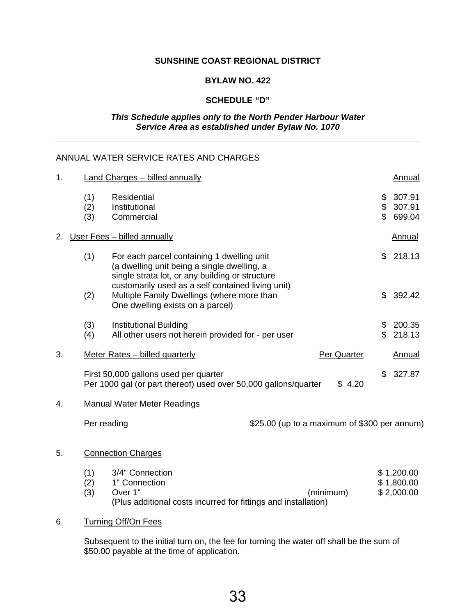## **SUNSHINE COAST REGIONAL DISTRICT**

#### **BYLAW NO. 422**

## **SCHEDULE "D"**

## *This Schedule applies only to the North Pender Harbour Water Service Area as established under Bylaw No. 1070*

## ANNUAL WATER SERVICE RATES AND CHARGES

| 1. |                   | <b>Land Charges - billed annually</b>                                                                                                        |             |                            | Annual                                 |
|----|-------------------|----------------------------------------------------------------------------------------------------------------------------------------------|-------------|----------------------------|----------------------------------------|
|    | (1)<br>(2)<br>(3) | Residential<br>Institutional<br>Commercial                                                                                                   |             | \$<br>\$<br>$\mathfrak{P}$ | 307.91<br>307.91<br>699.04             |
| 2. |                   | User Fees - billed annually                                                                                                                  |             |                            | <b>Annual</b>                          |
|    | (1)               | For each parcel containing 1 dwelling unit<br>(a dwelling unit being a single dwelling, a<br>single strata lot, or any building or structure |             | \$                         | 218.13                                 |
|    | (2)               | customarily used as a self contained living unit)<br>Multiple Family Dwellings (where more than<br>One dwelling exists on a parcel)          |             | \$                         | 392.42                                 |
|    | (3)<br>(4)        | <b>Institutional Building</b><br>All other users not herein provided for - per user                                                          |             | \$<br>\$                   | 200.35<br>218.13                       |
| 3. |                   | Meter Rates - billed quarterly                                                                                                               | Per Quarter |                            | <b>Annual</b>                          |
|    |                   | First 50,000 gallons used per quarter<br>Per 1000 gal (or part thereof) used over 50,000 gallons/quarter                                     | \$4.20      | \$                         | 327.87                                 |
| 4. |                   | <b>Manual Water Meter Readings</b>                                                                                                           |             |                            |                                        |
|    | Per reading       | \$25.00 (up to a maximum of \$300 per annum)                                                                                                 |             |                            |                                        |
| 5. |                   | <b>Connection Charges</b>                                                                                                                    |             |                            |                                        |
|    | (1)<br>(2)<br>(3) | 3/4" Connection<br>1" Connection<br>Over 1"<br>(minimum)<br>(Plus additional costs incurred for fittings and installation)                   |             |                            | \$1,200.00<br>\$1,800.00<br>\$2,000.00 |

## 6. Turning Off/On Fees

Subsequent to the initial turn on, the fee for turning the water off shall be the sum of \$50.00 payable at the time of application.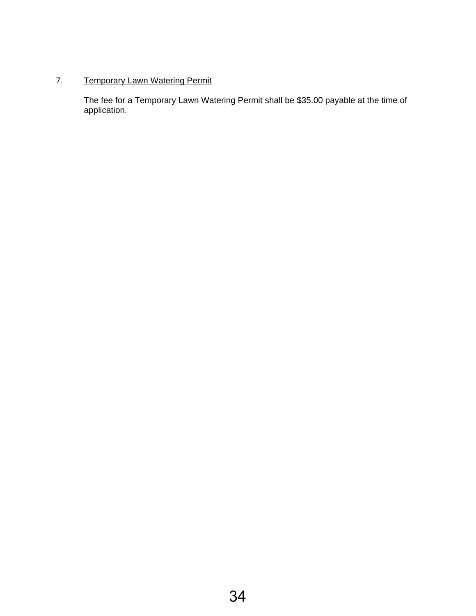## 7. Temporary Lawn Watering Permit

The fee for a Temporary Lawn Watering Permit shall be \$35.00 payable at the time of application.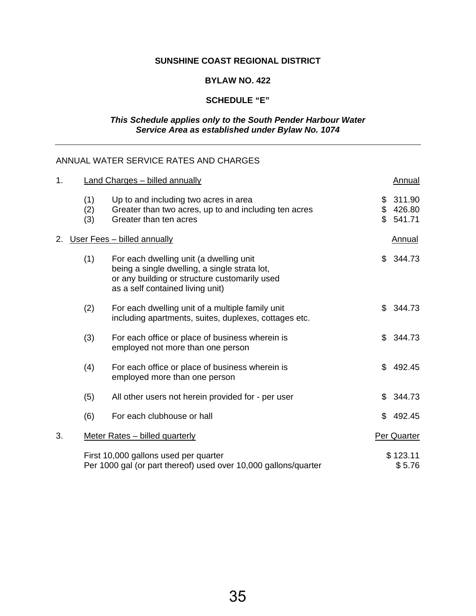## **SUNSHINE COAST REGIONAL DISTRICT**

#### **BYLAW NO. 422**

## **SCHEDULE "E"**

#### *This Schedule applies only to the South Pender Harbour Water Service Area as established under Bylaw No. 1074*

## ANNUAL WATER SERVICE RATES AND CHARGES

| 1. |                   | <b>Land Charges - billed annually</b>                                                                                                                                         |                           | <b>Annual</b>              |
|----|-------------------|-------------------------------------------------------------------------------------------------------------------------------------------------------------------------------|---------------------------|----------------------------|
|    | (1)<br>(2)<br>(3) | Up to and including two acres in area<br>Greater than two acres, up to and including ten acres<br>Greater than ten acres                                                      | \$<br>$\frac{1}{2}$<br>\$ | 311.90<br>426.80<br>541.71 |
| 2. |                   | User Fees - billed annually                                                                                                                                                   |                           | <b>Annual</b>              |
|    | (1)               | For each dwelling unit (a dwelling unit<br>being a single dwelling, a single strata lot,<br>or any building or structure customarily used<br>as a self contained living unit) | \$                        | 344.73                     |
|    | (2)               | For each dwelling unit of a multiple family unit<br>including apartments, suites, duplexes, cottages etc.                                                                     | \$                        | 344.73                     |
|    | (3)               | For each office or place of business wherein is<br>employed not more than one person                                                                                          | \$                        | 344.73                     |
|    | (4)               | For each office or place of business wherein is<br>employed more than one person                                                                                              | \$                        | 492.45                     |
|    | (5)               | All other users not herein provided for - per user                                                                                                                            | \$                        | 344.73                     |
|    | (6)               | For each clubhouse or hall                                                                                                                                                    | \$                        | 492.45                     |
| 3. |                   | Meter Rates - billed quarterly                                                                                                                                                |                           | Per Quarter                |
|    |                   | First 10,000 gallons used per quarter<br>Per 1000 gal (or part thereof) used over 10,000 gallons/quarter                                                                      |                           | \$123.11<br>\$5.76         |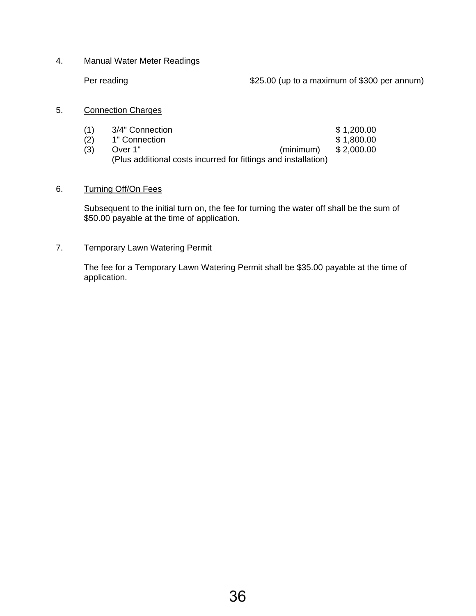## 4. Manual Water Meter Readings

Per reading **Per reading the COV** to a maximum of \$300 per annum)

#### 5. Connection Charges

| (1) | 3/4" Connection |                                                                | \$1,200.00 |
|-----|-----------------|----------------------------------------------------------------|------------|
| (2) | 1" Connection   |                                                                | \$1,800.00 |
| (3) | Over 1"         | (minimum)                                                      | \$2,000.00 |
|     |                 | (Plus additional costs incurred for fittings and installation) |            |

## 6. Turning Off/On Fees

Subsequent to the initial turn on, the fee for turning the water off shall be the sum of \$50.00 payable at the time of application.

## 7. Temporary Lawn Watering Permit

The fee for a Temporary Lawn Watering Permit shall be \$35.00 payable at the time of application.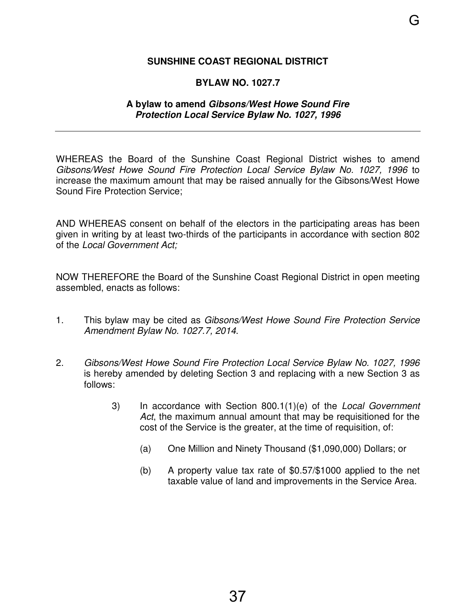## <span id="page-39-0"></span>**SUNSHINE COAST REGIONAL DISTRICT**

## **BYLAW NO. 1027.7**

## **A bylaw to amend Gibsons/West Howe Sound Fire Protection Local Service Bylaw No. 1027, 1996**

WHEREAS the Board of the Sunshine Coast Regional District wishes to amend Gibsons/West Howe Sound Fire Protection Local Service Bylaw No. 1027, 1996 to increase the maximum amount that may be raised annually for the Gibsons/West Howe Sound Fire Protection Service;

AND WHEREAS consent on behalf of the electors in the participating areas has been given in writing by at least two-thirds of the participants in accordance with section 802 of the Local Government Act;

NOW THEREFORE the Board of the Sunshine Coast Regional District in open meeting assembled, enacts as follows:

- 1. This bylaw may be cited as Gibsons/West Howe Sound Fire Protection Service Amendment Bylaw No. 1027.7, 2014.
- 2. Gibsons/West Howe Sound Fire Protection Local Service Bylaw No. 1027, 1996 is hereby amended by deleting Section 3 and replacing with a new Section 3 as follows:
	- 3) In accordance with Section 800.1(1)(e) of the Local Government Act, the maximum annual amount that may be requisitioned for the cost of the Service is the greater, at the time of requisition, of:
		- (a) One Million and Ninety Thousand (\$1,090,000) Dollars; or
		- (b) A property value tax rate of \$0.57/\$1000 applied to the net taxable value of land and improvements in the Service Area.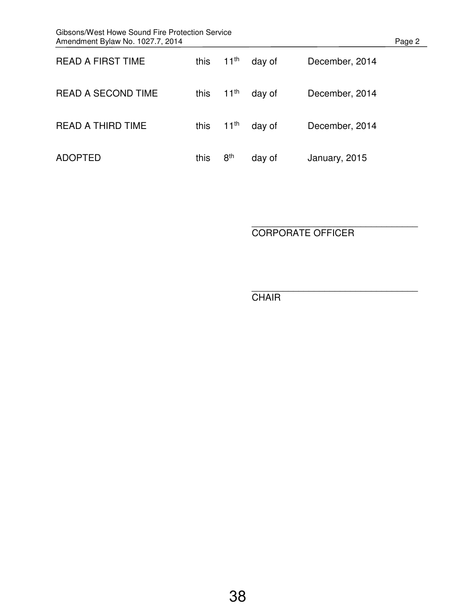| Gibsons/West Howe Sound Fire Protection Service<br>Amendment Bylaw No. 1027.7, 2014 |      |                  |        |                | Page 2 |
|-------------------------------------------------------------------------------------|------|------------------|--------|----------------|--------|
| <b>READ A FIRST TIME</b>                                                            | this | $11^{th}$        | day of | December, 2014 |        |
| <b>READ A SECOND TIME</b>                                                           | this | $11^{\text{th}}$ | day of | December, 2014 |        |
| <b>READ A THIRD TIME</b>                                                            | this | $11^{\text{th}}$ | day of | December, 2014 |        |
| <b>ADOPTED</b>                                                                      | this | 8 <sup>th</sup>  | day of | January, 2015  |        |

\_\_\_\_\_\_\_\_\_\_\_\_\_\_\_\_\_\_\_\_\_\_\_\_\_\_\_\_\_\_\_\_ CORPORATE OFFICER

\_\_\_\_\_\_\_\_\_\_\_\_\_\_\_\_\_\_\_\_\_\_\_\_\_\_\_\_\_\_\_\_ **CHAIR**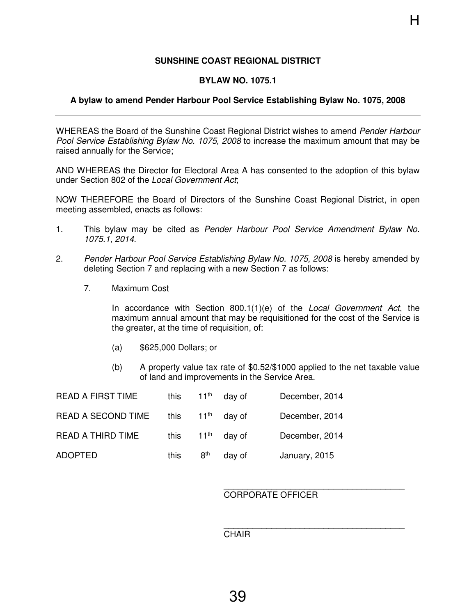## **SUNSHINE COAST REGIONAL DISTRICT**

#### **BYLAW NO. 1075.1**

#### <span id="page-41-0"></span>**A bylaw to amend Pender Harbour Pool Service Establishing Bylaw No. 1075, 2008**

WHEREAS the Board of the Sunshine Coast Regional District wishes to amend Pender Harbour Pool Service Establishing Bylaw No. 1075, 2008 to increase the maximum amount that may be raised annually for the Service;

AND WHEREAS the Director for Electoral Area A has consented to the adoption of this bylaw under Section 802 of the Local Government Act;

NOW THEREFORE the Board of Directors of the Sunshine Coast Regional District, in open meeting assembled, enacts as follows:

- 1. This bylaw may be cited as Pender Harbour Pool Service Amendment Bylaw No. 1075.1, 2014.
- 2. Pender Harbour Pool Service Establishing Bylaw No. 1075, 2008 is hereby amended by deleting Section 7 and replacing with a new Section 7 as follows:
	- 7. Maximum Cost

In accordance with Section 800.1(1)(e) of the Local Government Act, the maximum annual amount that may be requisitioned for the cost of the Service is the greater, at the time of requisition, of:

- (a) \$625,000 Dollars; or
- (b) A property value tax rate of \$0.52/\$1000 applied to the net taxable value of land and improvements in the Service Area.

| <b>READ A FIRST TIME</b>  | this |                  | $11th$ day of | December, 2014 |
|---------------------------|------|------------------|---------------|----------------|
| <b>READ A SECOND TIME</b> | this | $11^{\text{th}}$ | dav of        | December, 2014 |
| READ A THIRD TIME         | this |                  | $11th$ day of | December, 2014 |
| <b>ADOPTED</b>            | this | $8^{\sf th}$     | day of        | January, 2015  |

#### \_\_\_\_\_\_\_\_\_\_\_\_\_\_\_\_\_\_\_\_\_\_\_\_\_\_\_\_\_\_\_\_\_\_\_\_\_\_ CORPORATE OFFICER

#### CHAIR

\_\_\_\_\_\_\_\_\_\_\_\_\_\_\_\_\_\_\_\_\_\_\_\_\_\_\_\_\_\_\_\_\_\_\_\_\_\_

H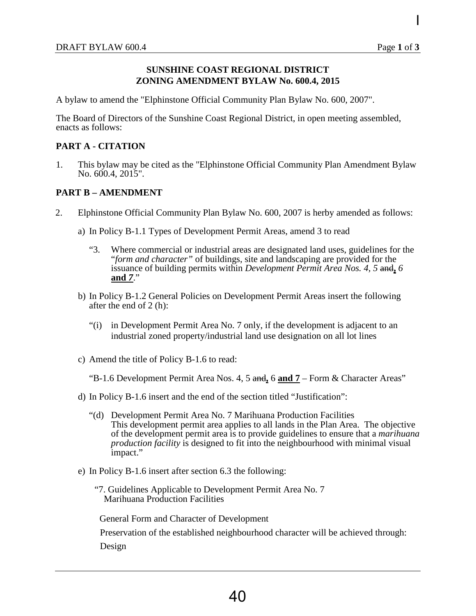I

#### **SUNSHINE COAST REGIONAL DISTRICT ZONING AMENDMENT BYLAW No. 600.4, 2015**

<span id="page-42-0"></span>A bylaw to amend the "Elphinstone Official Community Plan Bylaw No. 600, 2007".

The Board of Directors of the Sunshine Coast Regional District, in open meeting assembled, enacts as follows:

#### **PART A - CITATION**

1. This bylaw may be cited as the "Elphinstone Official Community Plan Amendment Bylaw No. 600.4, 2015".

#### **PART B – AMENDMENT**

- 2. Elphinstone Official Community Plan Bylaw No. 600, 2007 is herby amended as follows:
	- a) In Policy B-1.1 Types of Development Permit Areas, amend 3 to read
		- "3. Where commercial or industrial areas are designated land uses, guidelines for the "*form and character"* of buildings, site and landscaping are provided for the issuance of building permits within *Development Permit Area Nos. 4, 5* and**,** *6*  **and** *7*."
	- b) In Policy B-1.2 General Policies on Development Permit Areas insert the following after the end of 2 (h):
		- "(i) in Development Permit Area No. 7 only, if the development is adjacent to an industrial zoned property/industrial land use designation on all lot lines
	- c) Amend the title of Policy B-1.6 to read:

"B-1.6 Development Permit Area Nos. 4, 5 and**,** 6 **and 7** – Form & Character Areas"

- d) In Policy B-1.6 insert and the end of the section titled "Justification":
	- "(d) Development Permit Area No. 7 Marihuana Production Facilities This development permit area applies to all lands in the Plan Area. The objective of the development permit area is to provide guidelines to ensure that a *marihuana production facility* is designed to fit into the neighbourhood with minimal visual impact."
- e) In Policy B-1.6 insert after section 6.3 the following:
	- "7. Guidelines Applicable to Development Permit Area No. 7 Marihuana Production Facilities

General Form and Character of Development

Preservation of the established neighbourhood character will be achieved through:

Design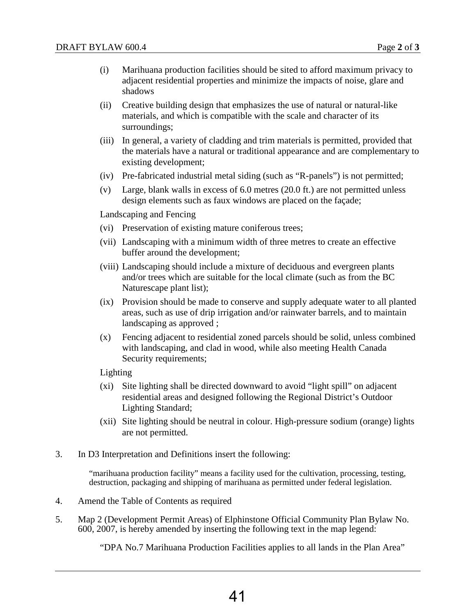- (i) Marihuana production facilities should be sited to afford maximum privacy to adjacent residential properties and minimize the impacts of noise, glare and shadows
- (ii) Creative building design that emphasizes the use of natural or natural-like materials, and which is compatible with the scale and character of its surroundings;
- (iii) In general, a variety of cladding and trim materials is permitted, provided that the materials have a natural or traditional appearance and are complementary to existing development;
- (iv) Pre-fabricated industrial metal siding (such as "R-panels") is not permitted;
- (v) Large, blank walls in excess of 6.0 metres (20.0 ft.) are not permitted unless design elements such as faux windows are placed on the façade;

Landscaping and Fencing

- (vi) Preservation of existing mature coniferous trees;
- (vii) Landscaping with a minimum width of three metres to create an effective buffer around the development;
- (viii) Landscaping should include a mixture of deciduous and evergreen plants and/or trees which are suitable for the local climate (such as from the BC Naturescape plant list);
- (ix) Provision should be made to conserve and supply adequate water to all planted areas, such as use of drip irrigation and/or rainwater barrels, and to maintain landscaping as approved ;
- (x) Fencing adjacent to residential zoned parcels should be solid, unless combined with landscaping, and clad in wood, while also meeting Health Canada Security requirements;

Lighting

- (xi) Site lighting shall be directed downward to avoid "light spill" on adjacent residential areas and designed following the Regional District's Outdoor Lighting Standard;
- (xii) Site lighting should be neutral in colour. High-pressure sodium (orange) lights are not permitted.
- 3. In D3 Interpretation and Definitions insert the following:

"marihuana production facility" means a facility used for the cultivation, processing, testing, destruction, packaging and shipping of marihuana as permitted under federal legislation.

- 4. Amend the Table of Contents as required
- 5. Map 2 (Development Permit Areas) of Elphinstone Official Community Plan Bylaw No. 600, 2007, is hereby amended by inserting the following text in the map legend:

"DPA No.7 Marihuana Production Facilities applies to all lands in the Plan Area"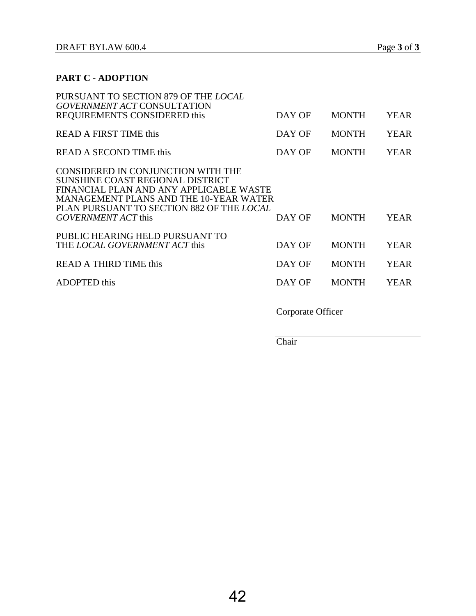| PURSUANT TO SECTION 879 OF THE LOCAL<br><b>GOVERNMENT ACT CONSULTATION</b>                                                                                                                               |                   |              |             |
|----------------------------------------------------------------------------------------------------------------------------------------------------------------------------------------------------------|-------------------|--------------|-------------|
| REQUIREMENTS CONSIDERED this                                                                                                                                                                             | DAY OF            | <b>MONTH</b> | <b>YEAR</b> |
| READ A FIRST TIME this                                                                                                                                                                                   | DAY OF            | <b>MONTH</b> | <b>YEAR</b> |
| <b>READ A SECOND TIME this</b>                                                                                                                                                                           | DAY OF            | <b>MONTH</b> | <b>YEAR</b> |
| CONSIDERED IN CONJUNCTION WITH THE<br>SUNSHINE COAST REGIONAL DISTRICT<br>FINANCIAL PLAN AND ANY APPLICABLE WASTE<br>MANAGEMENT PLANS AND THE 10-YEAR WATER<br>PLAN PURSUANT TO SECTION 882 OF THE LOCAL |                   |              |             |
| GOVERNMENT ACT this                                                                                                                                                                                      | DAY OF            | <b>MONTH</b> | <b>YEAR</b> |
| PUBLIC HEARING HELD PURSUANT TO<br>THE LOCAL GOVERNMENT ACT this                                                                                                                                         | DAY OF            | <b>MONTH</b> | <b>YEAR</b> |
| READ A THIRD TIME this                                                                                                                                                                                   | DAY OF            | <b>MONTH</b> | <b>YEAR</b> |
| <b>ADOPTED</b> this                                                                                                                                                                                      | DAY OF            | <b>MONTH</b> | YEAR        |
|                                                                                                                                                                                                          | Corporate Officer |              |             |

**Chair**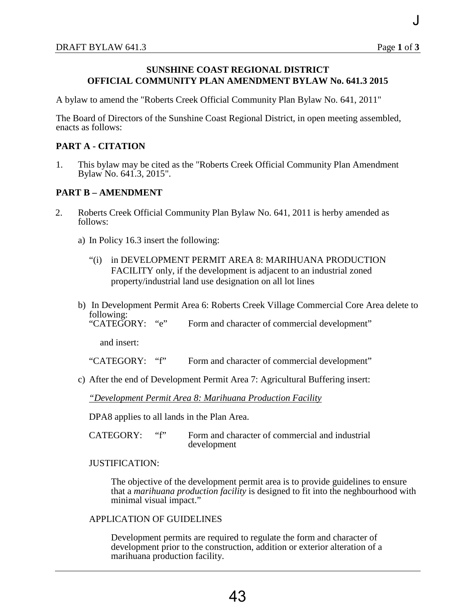J

## <span id="page-45-0"></span>**SUNSHINE COAST REGIONAL DISTRICT OFFICIAL COMMUNITY PLAN AMENDMENT BYLAW No. 641.3 2015**

A bylaw to amend the "Roberts Creek Official Community Plan Bylaw No. 641, 2011"

The Board of Directors of the Sunshine Coast Regional District, in open meeting assembled, enacts as follows:

## **PART A - CITATION**

1. This bylaw may be cited as the "Roberts Creek Official Community Plan Amendment Bylaw No. 641.3, 2015".

#### **PART B – AMENDMENT**

- 2. Roberts Creek Official Community Plan Bylaw No. 641, 2011 is herby amended as follows:
	- a) In Policy 16.3 insert the following:
		- "(i) in DEVELOPMENT PERMIT AREA 8: MARIHUANA PRODUCTION FACILITY only, if the development is adjacent to an industrial zoned property/industrial land use designation on all lot lines
	- b) In Development Permit Area 6: Roberts Creek Village Commercial Core Area delete to following:<br>"CATEGORY:

"e" Form and character of commercial development"

and insert:

"CATEGORY: "f" Form and character of commercial development"

c) After the end of Development Permit Area 7: Agricultural Buffering insert:

#### *"Development Permit Area 8: Marihuana Production Facility*

DPA8 applies to all lands in the Plan Area.

CATEGORY: "f" Form and character of commercial and industrial development

#### JUSTIFICATION:

The objective of the development permit area is to provide guidelines to ensure that a *marihuana production facility* is designed to fit into the neghbourhood with minimal visual impact."

#### APPLICATION OF GUIDELINES

Development permits are required to regulate the form and character of development prior to the construction, addition or exterior alteration of a marihuana production facility.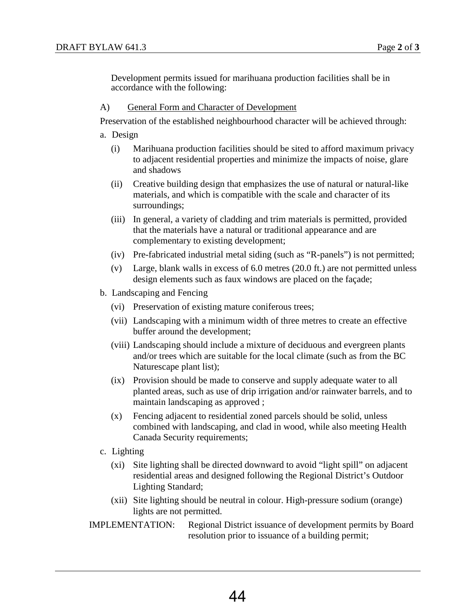Development permits issued for marihuana production facilities shall be in accordance with the following:

#### A) General Form and Character of Development

Preservation of the established neighbourhood character will be achieved through:

a. Design

- (i) Marihuana production facilities should be sited to afford maximum privacy to adjacent residential properties and minimize the impacts of noise, glare and shadows
- (ii) Creative building design that emphasizes the use of natural or natural-like materials, and which is compatible with the scale and character of its surroundings;
- (iii) In general, a variety of cladding and trim materials is permitted, provided that the materials have a natural or traditional appearance and are complementary to existing development;
- (iv) Pre-fabricated industrial metal siding (such as "R-panels") is not permitted;
- (v) Large, blank walls in excess of 6.0 metres (20.0 ft.) are not permitted unless design elements such as faux windows are placed on the façade;
- b. Landscaping and Fencing
	- (vi) Preservation of existing mature coniferous trees;
	- (vii) Landscaping with a minimum width of three metres to create an effective buffer around the development;
	- (viii) Landscaping should include a mixture of deciduous and evergreen plants and/or trees which are suitable for the local climate (such as from the BC Naturescape plant list);
	- (ix) Provision should be made to conserve and supply adequate water to all planted areas, such as use of drip irrigation and/or rainwater barrels, and to maintain landscaping as approved ;
	- (x) Fencing adjacent to residential zoned parcels should be solid, unless combined with landscaping, and clad in wood, while also meeting Health Canada Security requirements;
- c. Lighting
	- (xi) Site lighting shall be directed downward to avoid "light spill" on adjacent residential areas and designed following the Regional District's Outdoor Lighting Standard;
	- (xii) Site lighting should be neutral in colour. High-pressure sodium (orange) lights are not permitted.

IMPLEMENTATION: Regional District issuance of development permits by Board resolution prior to issuance of a building permit;